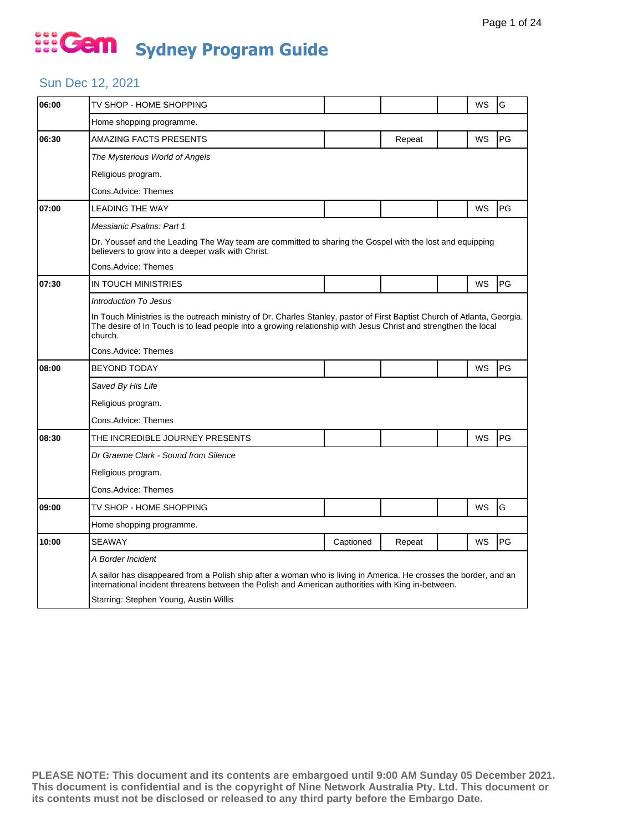### Sun Dec 12, 2021

| 06:00 | TV SHOP - HOME SHOPPING                                                                                                                                                                                                                                |           |        |  | WS        | G  |  |  |  |
|-------|--------------------------------------------------------------------------------------------------------------------------------------------------------------------------------------------------------------------------------------------------------|-----------|--------|--|-----------|----|--|--|--|
|       |                                                                                                                                                                                                                                                        |           |        |  |           |    |  |  |  |
|       | Home shopping programme.                                                                                                                                                                                                                               |           |        |  |           |    |  |  |  |
| 06:30 | <b>AMAZING FACTS PRESENTS</b>                                                                                                                                                                                                                          |           | Repeat |  | <b>WS</b> | PG |  |  |  |
|       | The Mysterious World of Angels                                                                                                                                                                                                                         |           |        |  |           |    |  |  |  |
|       | Religious program.                                                                                                                                                                                                                                     |           |        |  |           |    |  |  |  |
|       | Cons.Advice: Themes                                                                                                                                                                                                                                    |           |        |  |           |    |  |  |  |
| 07:00 | <b>LEADING THE WAY</b>                                                                                                                                                                                                                                 |           |        |  | WS        | PG |  |  |  |
|       | Messianic Psalms: Part 1                                                                                                                                                                                                                               |           |        |  |           |    |  |  |  |
|       | Dr. Youssef and the Leading The Way team are committed to sharing the Gospel with the lost and equipping<br>believers to grow into a deeper walk with Christ.                                                                                          |           |        |  |           |    |  |  |  |
|       | Cons.Advice: Themes                                                                                                                                                                                                                                    |           |        |  |           |    |  |  |  |
| 07:30 | IN TOUCH MINISTRIES                                                                                                                                                                                                                                    |           |        |  | WS        | PG |  |  |  |
|       | <b>Introduction To Jesus</b>                                                                                                                                                                                                                           |           |        |  |           |    |  |  |  |
|       | In Touch Ministries is the outreach ministry of Dr. Charles Stanley, pastor of First Baptist Church of Atlanta, Georgia.<br>The desire of In Touch is to lead people into a growing relationship with Jesus Christ and strengthen the local<br>church. |           |        |  |           |    |  |  |  |
|       | Cons.Advice: Themes                                                                                                                                                                                                                                    |           |        |  |           |    |  |  |  |
| 08:00 | <b>BEYOND TODAY</b>                                                                                                                                                                                                                                    |           |        |  | WS        | PG |  |  |  |
|       | Saved By His Life                                                                                                                                                                                                                                      |           |        |  |           |    |  |  |  |
|       | Religious program.                                                                                                                                                                                                                                     |           |        |  |           |    |  |  |  |
|       | Cons.Advice: Themes                                                                                                                                                                                                                                    |           |        |  |           |    |  |  |  |
| 08:30 | THE INCREDIBLE JOURNEY PRESENTS                                                                                                                                                                                                                        |           |        |  | WS        | PG |  |  |  |
|       | Dr Graeme Clark - Sound from Silence                                                                                                                                                                                                                   |           |        |  |           |    |  |  |  |
|       | Religious program.                                                                                                                                                                                                                                     |           |        |  |           |    |  |  |  |
|       | Cons.Advice: Themes                                                                                                                                                                                                                                    |           |        |  |           |    |  |  |  |
| 09:00 | TV SHOP - HOME SHOPPING                                                                                                                                                                                                                                |           |        |  | WS        | G  |  |  |  |
|       | Home shopping programme.                                                                                                                                                                                                                               |           |        |  |           |    |  |  |  |
| 10:00 | <b>SEAWAY</b>                                                                                                                                                                                                                                          | Captioned | Repeat |  | WS        | PG |  |  |  |
|       | A Border Incident                                                                                                                                                                                                                                      |           |        |  |           |    |  |  |  |
|       | A sailor has disappeared from a Polish ship after a woman who is living in America. He crosses the border, and an<br>international incident threatens between the Polish and American authorities with King in-between.                                |           |        |  |           |    |  |  |  |
|       | Starring: Stephen Young, Austin Willis                                                                                                                                                                                                                 |           |        |  |           |    |  |  |  |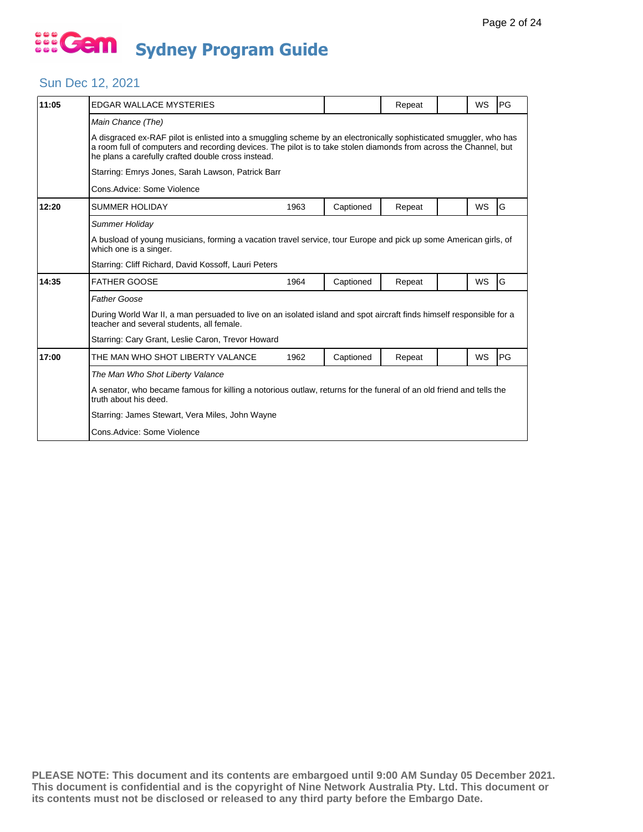## Sun Dec 12, 2021

| 11:05 | <b>EDGAR WALLACE MYSTERIES</b>                                                                                                                                                                                                                                                               |      |           | Repeat |  | WS        | PG |  |  |
|-------|----------------------------------------------------------------------------------------------------------------------------------------------------------------------------------------------------------------------------------------------------------------------------------------------|------|-----------|--------|--|-----------|----|--|--|
|       | Main Chance (The)                                                                                                                                                                                                                                                                            |      |           |        |  |           |    |  |  |
|       | A disgraced ex-RAF pilot is enlisted into a smuggling scheme by an electronically sophisticated smuggler, who has<br>a room full of computers and recording devices. The pilot is to take stolen diamonds from across the Channel, but<br>he plans a carefully crafted double cross instead. |      |           |        |  |           |    |  |  |
|       | Starring: Emrys Jones, Sarah Lawson, Patrick Barr                                                                                                                                                                                                                                            |      |           |        |  |           |    |  |  |
|       | Cons. Advice: Some Violence                                                                                                                                                                                                                                                                  |      |           |        |  |           |    |  |  |
| 12:20 | <b>SUMMER HOLIDAY</b>                                                                                                                                                                                                                                                                        | 1963 | Captioned | Repeat |  | <b>WS</b> | G  |  |  |
|       | Summer Holiday                                                                                                                                                                                                                                                                               |      |           |        |  |           |    |  |  |
|       | A busload of young musicians, forming a vacation travel service, tour Europe and pick up some American girls, of<br>which one is a singer.                                                                                                                                                   |      |           |        |  |           |    |  |  |
|       | Starring: Cliff Richard, David Kossoff, Lauri Peters                                                                                                                                                                                                                                         |      |           |        |  |           |    |  |  |
| 14:35 | <b>FATHER GOOSE</b>                                                                                                                                                                                                                                                                          | 1964 | Captioned | Repeat |  | WS        | G  |  |  |
|       | <b>Father Goose</b>                                                                                                                                                                                                                                                                          |      |           |        |  |           |    |  |  |
|       | During World War II, a man persuaded to live on an isolated island and spot aircraft finds himself responsible for a<br>teacher and several students, all female.                                                                                                                            |      |           |        |  |           |    |  |  |
|       | Starring: Cary Grant, Leslie Caron, Trevor Howard                                                                                                                                                                                                                                            |      |           |        |  |           |    |  |  |
| 17:00 | THE MAN WHO SHOT LIBERTY VALANCE                                                                                                                                                                                                                                                             | 1962 | Captioned | Repeat |  | WS        | PG |  |  |
|       | The Man Who Shot Liberty Valance                                                                                                                                                                                                                                                             |      |           |        |  |           |    |  |  |
|       | A senator, who became famous for killing a notorious outlaw, returns for the funeral of an old friend and tells the<br>truth about his deed.                                                                                                                                                 |      |           |        |  |           |    |  |  |
|       | Starring: James Stewart, Vera Miles, John Wayne                                                                                                                                                                                                                                              |      |           |        |  |           |    |  |  |
|       | Cons.Advice: Some Violence                                                                                                                                                                                                                                                                   |      |           |        |  |           |    |  |  |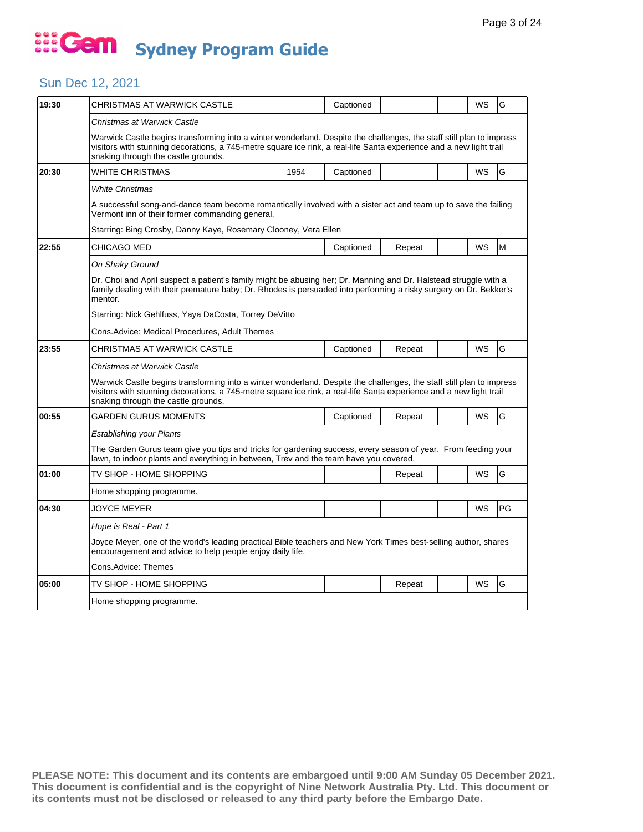## Sun Dec 12, 2021

| 19:30 | CHRISTMAS AT WARWICK CASTLE                                                                                                                                                                                                                                                        |      | Captioned |        |  | WS        | G  |  |
|-------|------------------------------------------------------------------------------------------------------------------------------------------------------------------------------------------------------------------------------------------------------------------------------------|------|-----------|--------|--|-----------|----|--|
|       | Christmas at Warwick Castle                                                                                                                                                                                                                                                        |      |           |        |  |           |    |  |
|       | Warwick Castle begins transforming into a winter wonderland. Despite the challenges, the staff still plan to impress<br>visitors with stunning decorations, a 745-metre square ice rink, a real-life Santa experience and a new light trail<br>snaking through the castle grounds. |      |           |        |  |           |    |  |
| 20:30 | WHITE CHRISTMAS                                                                                                                                                                                                                                                                    | 1954 | Captioned |        |  | <b>WS</b> | G  |  |
|       | White Christmas                                                                                                                                                                                                                                                                    |      |           |        |  |           |    |  |
|       | A successful song-and-dance team become romantically involved with a sister act and team up to save the failing<br>Vermont inn of their former commanding general.                                                                                                                 |      |           |        |  |           |    |  |
|       | Starring: Bing Crosby, Danny Kaye, Rosemary Clooney, Vera Ellen                                                                                                                                                                                                                    |      |           |        |  |           |    |  |
| 22:55 | CHICAGO MED                                                                                                                                                                                                                                                                        |      | Captioned | Repeat |  | WS        | M  |  |
|       | On Shaky Ground                                                                                                                                                                                                                                                                    |      |           |        |  |           |    |  |
|       | Dr. Choi and April suspect a patient's family might be abusing her; Dr. Manning and Dr. Halstead struggle with a<br>family dealing with their premature baby; Dr. Rhodes is persuaded into performing a risky surgery on Dr. Bekker's<br>mentor.                                   |      |           |        |  |           |    |  |
|       | Starring: Nick Gehlfuss, Yaya DaCosta, Torrey DeVitto                                                                                                                                                                                                                              |      |           |        |  |           |    |  |
|       | Cons.Advice: Medical Procedures, Adult Themes                                                                                                                                                                                                                                      |      |           |        |  |           |    |  |
| 23:55 | CHRISTMAS AT WARWICK CASTLE                                                                                                                                                                                                                                                        |      | Captioned | Repeat |  | WS        | G  |  |
|       | Christmas at Warwick Castle                                                                                                                                                                                                                                                        |      |           |        |  |           |    |  |
|       | Warwick Castle begins transforming into a winter wonderland. Despite the challenges, the staff still plan to impress<br>visitors with stunning decorations, a 745-metre square ice rink, a real-life Santa experience and a new light trail<br>snaking through the castle grounds. |      |           |        |  |           |    |  |
| 00:55 | GARDEN GURUS MOMENTS                                                                                                                                                                                                                                                               |      | Captioned | Repeat |  | WS        | G  |  |
|       | Establishing your Plants                                                                                                                                                                                                                                                           |      |           |        |  |           |    |  |
|       | The Garden Gurus team give you tips and tricks for gardening success, every season of year. From feeding your<br>lawn, to indoor plants and everything in between, Trev and the team have you covered.                                                                             |      |           |        |  |           |    |  |
| 01:00 | TV SHOP - HOME SHOPPING                                                                                                                                                                                                                                                            |      |           | Repeat |  | WS        | G  |  |
|       | Home shopping programme.                                                                                                                                                                                                                                                           |      |           |        |  |           |    |  |
| 04:30 | JOYCE MEYER                                                                                                                                                                                                                                                                        |      |           |        |  | WS        | PG |  |
|       | Hope is Real - Part 1                                                                                                                                                                                                                                                              |      |           |        |  |           |    |  |
|       | Joyce Meyer, one of the world's leading practical Bible teachers and New York Times best-selling author, shares<br>encouragement and advice to help people enjoy daily life.                                                                                                       |      |           |        |  |           |    |  |
|       | Cons.Advice: Themes                                                                                                                                                                                                                                                                |      |           |        |  |           |    |  |
| 05:00 | TV SHOP - HOME SHOPPING                                                                                                                                                                                                                                                            |      |           | Repeat |  | WS        | G  |  |
|       | Home shopping programme.                                                                                                                                                                                                                                                           |      |           |        |  |           |    |  |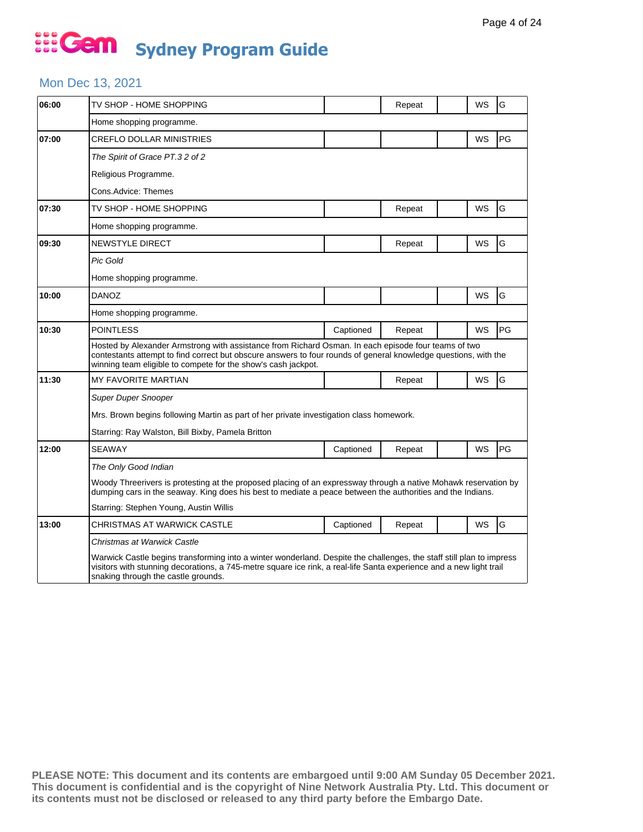#### Mon Dec 13, 2021

| 06:00 | TV SHOP - HOME SHOPPING                                                                                                                                                                                                                                                                 |           | Repeat |  | WS        | G  |  |  |
|-------|-----------------------------------------------------------------------------------------------------------------------------------------------------------------------------------------------------------------------------------------------------------------------------------------|-----------|--------|--|-----------|----|--|--|
|       | Home shopping programme.                                                                                                                                                                                                                                                                |           |        |  |           |    |  |  |
| 07:00 | <b>CREFLO DOLLAR MINISTRIES</b>                                                                                                                                                                                                                                                         |           |        |  | <b>WS</b> | PG |  |  |
|       | The Spirit of Grace PT.32 of 2                                                                                                                                                                                                                                                          |           |        |  |           |    |  |  |
|       | Religious Programme.                                                                                                                                                                                                                                                                    |           |        |  |           |    |  |  |
|       | Cons.Advice: Themes                                                                                                                                                                                                                                                                     |           |        |  |           |    |  |  |
| 07:30 | TV SHOP - HOME SHOPPING                                                                                                                                                                                                                                                                 |           | Repeat |  | WS        | G  |  |  |
|       | Home shopping programme.                                                                                                                                                                                                                                                                |           |        |  |           |    |  |  |
| 09:30 | <b>NEWSTYLE DIRECT</b>                                                                                                                                                                                                                                                                  |           | Repeat |  | WS        | G  |  |  |
|       | <b>Pic Gold</b>                                                                                                                                                                                                                                                                         |           |        |  |           |    |  |  |
|       | Home shopping programme.                                                                                                                                                                                                                                                                |           |        |  |           |    |  |  |
| 10:00 | <b>DANOZ</b>                                                                                                                                                                                                                                                                            |           |        |  | WS        | G  |  |  |
|       | Home shopping programme.                                                                                                                                                                                                                                                                |           |        |  |           |    |  |  |
| 10:30 | <b>POINTLESS</b>                                                                                                                                                                                                                                                                        | Captioned | Repeat |  | WS        | PG |  |  |
|       | Hosted by Alexander Armstrong with assistance from Richard Osman. In each episode four teams of two<br>contestants attempt to find correct but obscure answers to four rounds of general knowledge questions, with the<br>winning team eligible to compete for the show's cash jackpot. |           |        |  |           |    |  |  |
| 11:30 | <b>MY FAVORITE MARTIAN</b>                                                                                                                                                                                                                                                              |           | Repeat |  | WS        | G  |  |  |
|       | <b>Super Duper Snooper</b>                                                                                                                                                                                                                                                              |           |        |  |           |    |  |  |
|       | Mrs. Brown begins following Martin as part of her private investigation class homework.                                                                                                                                                                                                 |           |        |  |           |    |  |  |
|       | Starring: Ray Walston, Bill Bixby, Pamela Britton                                                                                                                                                                                                                                       |           |        |  |           |    |  |  |
| 12:00 | <b>SEAWAY</b>                                                                                                                                                                                                                                                                           | Captioned | Repeat |  | WS        | PG |  |  |
|       | The Only Good Indian                                                                                                                                                                                                                                                                    |           |        |  |           |    |  |  |
|       | Woody Threerivers is protesting at the proposed placing of an expressway through a native Mohawk reservation by<br>dumping cars in the seaway. King does his best to mediate a peace between the authorities and the Indians.                                                           |           |        |  |           |    |  |  |
|       | Starring: Stephen Young, Austin Willis                                                                                                                                                                                                                                                  |           |        |  |           |    |  |  |
| 13:00 | CHRISTMAS AT WARWICK CASTLE                                                                                                                                                                                                                                                             | Captioned | Repeat |  | WS        | G  |  |  |
|       | Christmas at Warwick Castle                                                                                                                                                                                                                                                             |           |        |  |           |    |  |  |
|       | Warwick Castle begins transforming into a winter wonderland. Despite the challenges, the staff still plan to impress<br>visitors with stunning decorations, a 745-metre square ice rink, a real-life Santa experience and a new light trail<br>snaking through the castle grounds.      |           |        |  |           |    |  |  |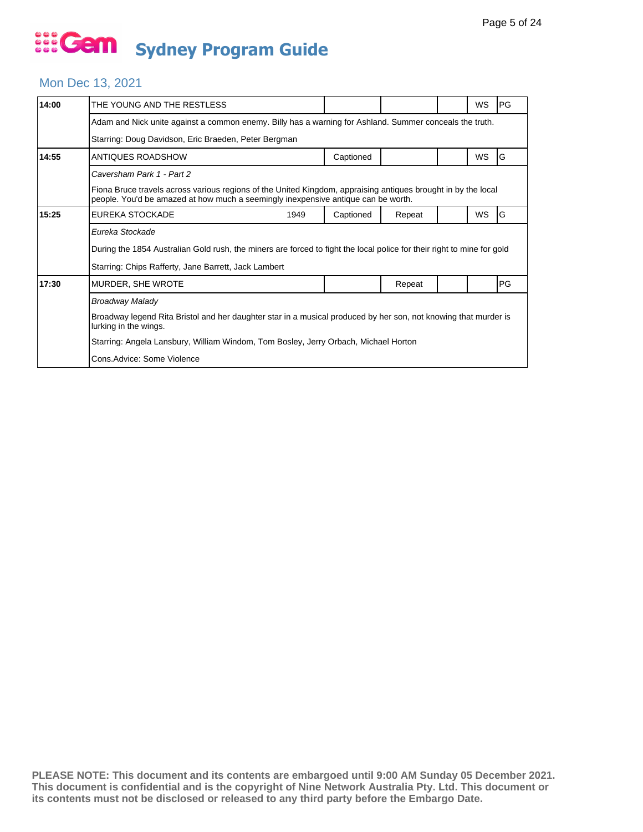## Mon Dec 13, 2021

| 14:00 | THE YOUNG AND THE RESTLESS                                                                                                                                                                         |           |        |  | WS        | PG |  |  |  |
|-------|----------------------------------------------------------------------------------------------------------------------------------------------------------------------------------------------------|-----------|--------|--|-----------|----|--|--|--|
|       | Adam and Nick unite against a common enemy. Billy has a warning for Ashland. Summer conceals the truth.                                                                                            |           |        |  |           |    |  |  |  |
|       | Starring: Doug Davidson, Eric Braeden, Peter Bergman                                                                                                                                               |           |        |  |           |    |  |  |  |
| 14:55 | ANTIQUES ROADSHOW                                                                                                                                                                                  | Captioned |        |  | <b>WS</b> | G  |  |  |  |
|       | Caversham Park 1 - Part 2                                                                                                                                                                          |           |        |  |           |    |  |  |  |
|       | Fiona Bruce travels across various regions of the United Kingdom, appraising antiques brought in by the local<br>people. You'd be amazed at how much a seemingly inexpensive antique can be worth. |           |        |  |           |    |  |  |  |
| 15:25 | <b>EUREKA STOCKADE</b><br>1949                                                                                                                                                                     | Captioned | Repeat |  | WS        | G  |  |  |  |
|       | Eureka Stockade                                                                                                                                                                                    |           |        |  |           |    |  |  |  |
|       | During the 1854 Australian Gold rush, the miners are forced to fight the local police for their right to mine for gold                                                                             |           |        |  |           |    |  |  |  |
|       | Starring: Chips Rafferty, Jane Barrett, Jack Lambert                                                                                                                                               |           |        |  |           |    |  |  |  |
| 17:30 | MURDER, SHE WROTE                                                                                                                                                                                  |           | Repeat |  |           | PG |  |  |  |
|       | <b>Broadway Malady</b>                                                                                                                                                                             |           |        |  |           |    |  |  |  |
|       | Broadway legend Rita Bristol and her daughter star in a musical produced by her son, not knowing that murder is<br>lurking in the wings.                                                           |           |        |  |           |    |  |  |  |
|       | Starring: Angela Lansbury, William Windom, Tom Bosley, Jerry Orbach, Michael Horton                                                                                                                |           |        |  |           |    |  |  |  |
|       | Cons. Advice: Some Violence                                                                                                                                                                        |           |        |  |           |    |  |  |  |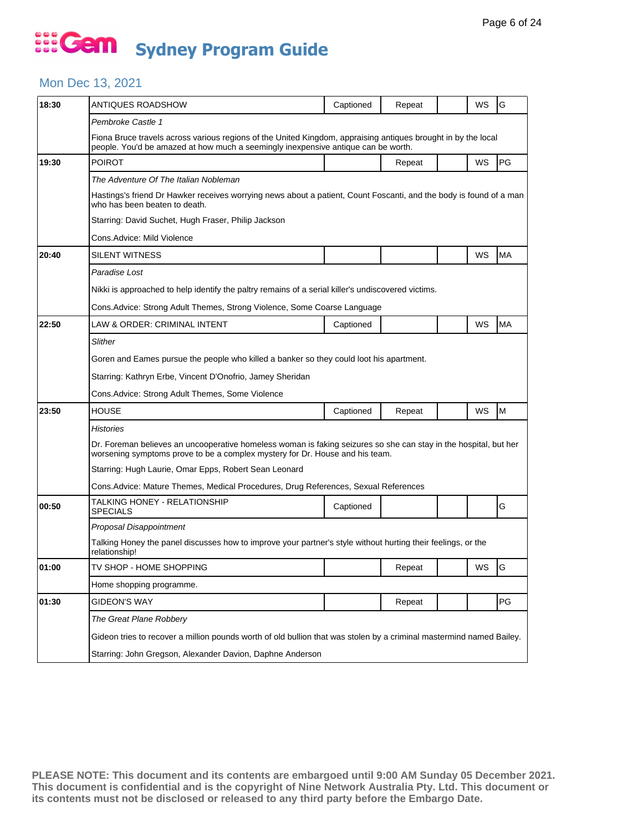### Mon Dec 13, 2021

| 18:30 | ANTIQUES ROADSHOW                                                                                                                                                                                  | Captioned | Repeat |  | WS | G         |  |  |  |
|-------|----------------------------------------------------------------------------------------------------------------------------------------------------------------------------------------------------|-----------|--------|--|----|-----------|--|--|--|
|       | Pembroke Castle 1                                                                                                                                                                                  |           |        |  |    |           |  |  |  |
|       | Fiona Bruce travels across various regions of the United Kingdom, appraising antiques brought in by the local<br>people. You'd be amazed at how much a seemingly inexpensive antique can be worth. |           |        |  |    |           |  |  |  |
| 19:30 | <b>POIROT</b>                                                                                                                                                                                      |           | Repeat |  | WS | PG        |  |  |  |
|       | The Adventure Of The Italian Nobleman                                                                                                                                                              |           |        |  |    |           |  |  |  |
|       | Hastings's friend Dr Hawker receives worrying news about a patient, Count Foscanti, and the body is found of a man<br>who has been beaten to death.                                                |           |        |  |    |           |  |  |  |
|       | Starring: David Suchet, Hugh Fraser, Philip Jackson                                                                                                                                                |           |        |  |    |           |  |  |  |
|       | Cons.Advice: Mild Violence                                                                                                                                                                         |           |        |  |    |           |  |  |  |
| 20:40 | SILENT WITNESS                                                                                                                                                                                     |           |        |  | WS | <b>MA</b> |  |  |  |
|       | Paradise Lost                                                                                                                                                                                      |           |        |  |    |           |  |  |  |
|       | Nikki is approached to help identify the paltry remains of a serial killer's undiscovered victims.                                                                                                 |           |        |  |    |           |  |  |  |
|       | Cons. Advice: Strong Adult Themes, Strong Violence, Some Coarse Language                                                                                                                           |           |        |  |    |           |  |  |  |
| 22:50 | LAW & ORDER: CRIMINAL INTENT                                                                                                                                                                       | Captioned |        |  | WS | <b>MA</b> |  |  |  |
|       | Slither                                                                                                                                                                                            |           |        |  |    |           |  |  |  |
|       | Goren and Eames pursue the people who killed a banker so they could loot his apartment.                                                                                                            |           |        |  |    |           |  |  |  |
|       | Starring: Kathryn Erbe, Vincent D'Onofrio, Jamey Sheridan                                                                                                                                          |           |        |  |    |           |  |  |  |
|       | Cons. Advice: Strong Adult Themes, Some Violence                                                                                                                                                   |           |        |  |    |           |  |  |  |
| 23:50 | <b>HOUSE</b>                                                                                                                                                                                       | Captioned | Repeat |  | WS | M         |  |  |  |
|       | <b>Histories</b>                                                                                                                                                                                   |           |        |  |    |           |  |  |  |
|       | Dr. Foreman believes an uncooperative homeless woman is faking seizures so she can stay in the hospital, but her<br>worsening symptoms prove to be a complex mystery for Dr. House and his team.   |           |        |  |    |           |  |  |  |
|       | Starring: Hugh Laurie, Omar Epps, Robert Sean Leonard                                                                                                                                              |           |        |  |    |           |  |  |  |
|       | Cons.Advice: Mature Themes, Medical Procedures, Drug References, Sexual References                                                                                                                 |           |        |  |    |           |  |  |  |
| 00:50 | TALKING HONEY - RELATIONSHIP<br><b>SPECIALS</b>                                                                                                                                                    | Captioned |        |  |    | G         |  |  |  |
|       | Proposal Disappointment                                                                                                                                                                            |           |        |  |    |           |  |  |  |
|       | Talking Honey the panel discusses how to improve your partner's style without hurting their feelings, or the<br>relationship!                                                                      |           |        |  |    |           |  |  |  |
| 01:00 | TV SHOP - HOME SHOPPING                                                                                                                                                                            |           | Repeat |  | WS | $\vert$ G |  |  |  |
|       | Home shopping programme.                                                                                                                                                                           |           |        |  |    |           |  |  |  |
| 01:30 | <b>GIDEON'S WAY</b>                                                                                                                                                                                |           | Repeat |  |    | PG        |  |  |  |
|       | The Great Plane Robbery                                                                                                                                                                            |           |        |  |    |           |  |  |  |
|       | Gideon tries to recover a million pounds worth of old bullion that was stolen by a criminal mastermind named Bailey.                                                                               |           |        |  |    |           |  |  |  |
|       | Starring: John Gregson, Alexander Davion, Daphne Anderson                                                                                                                                          |           |        |  |    |           |  |  |  |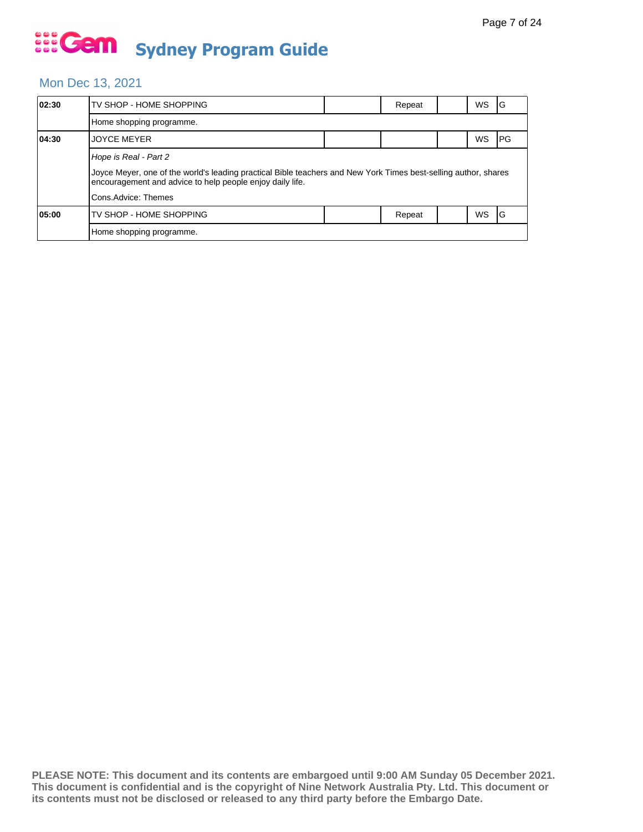### Mon Dec 13, 2021

| 02:30 | TV SHOP - HOME SHOPPING                                                                                                                                                      |  | Repeat |  | WS        | ١G   |  |  |  |
|-------|------------------------------------------------------------------------------------------------------------------------------------------------------------------------------|--|--------|--|-----------|------|--|--|--|
|       | Home shopping programme.                                                                                                                                                     |  |        |  |           |      |  |  |  |
| 04:30 | <b>JOYCE MEYER</b>                                                                                                                                                           |  |        |  | WS        | IPG. |  |  |  |
|       | Hope is Real - Part 2                                                                                                                                                        |  |        |  |           |      |  |  |  |
|       | Joyce Meyer, one of the world's leading practical Bible teachers and New York Times best-selling author, shares<br>encouragement and advice to help people enjoy daily life. |  |        |  |           |      |  |  |  |
|       | Cons.Advice: Themes                                                                                                                                                          |  |        |  |           |      |  |  |  |
| 05:00 | TV SHOP - HOME SHOPPING                                                                                                                                                      |  | Repeat |  | <b>WS</b> | IG   |  |  |  |
|       | Home shopping programme.                                                                                                                                                     |  |        |  |           |      |  |  |  |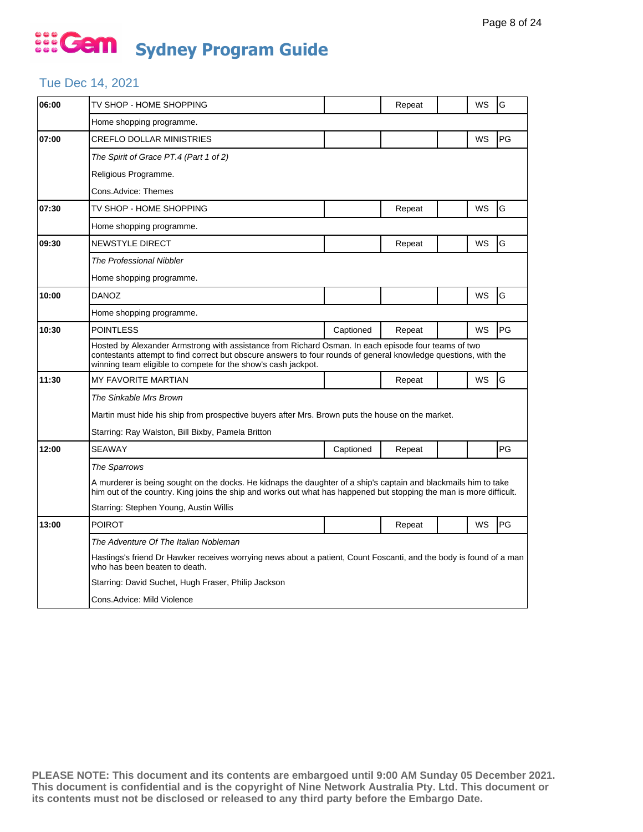#### Tue Dec 14, 2021

| 06:00 | TV SHOP - HOME SHOPPING                                                                                                                                                                                                                                                                 |           | Repeat |  | WS | G  |  |  |
|-------|-----------------------------------------------------------------------------------------------------------------------------------------------------------------------------------------------------------------------------------------------------------------------------------------|-----------|--------|--|----|----|--|--|
|       | Home shopping programme.                                                                                                                                                                                                                                                                |           |        |  |    |    |  |  |
| 07:00 | <b>CREFLO DOLLAR MINISTRIES</b>                                                                                                                                                                                                                                                         |           |        |  | WS | PG |  |  |
|       | The Spirit of Grace PT.4 (Part 1 of 2)                                                                                                                                                                                                                                                  |           |        |  |    |    |  |  |
|       | Religious Programme.                                                                                                                                                                                                                                                                    |           |        |  |    |    |  |  |
|       | Cons.Advice: Themes                                                                                                                                                                                                                                                                     |           |        |  |    |    |  |  |
| 07:30 | TV SHOP - HOME SHOPPING                                                                                                                                                                                                                                                                 |           | Repeat |  | WS | G  |  |  |
|       | Home shopping programme.                                                                                                                                                                                                                                                                |           |        |  |    |    |  |  |
| 09:30 | <b>NEWSTYLE DIRECT</b>                                                                                                                                                                                                                                                                  |           | Repeat |  | WS | G  |  |  |
|       | The Professional Nibbler                                                                                                                                                                                                                                                                |           |        |  |    |    |  |  |
|       | Home shopping programme.                                                                                                                                                                                                                                                                |           |        |  |    |    |  |  |
| 10:00 | <b>DANOZ</b>                                                                                                                                                                                                                                                                            |           |        |  | WS | G  |  |  |
|       | Home shopping programme.                                                                                                                                                                                                                                                                |           |        |  |    |    |  |  |
| 10:30 | <b>POINTLESS</b>                                                                                                                                                                                                                                                                        | Captioned | Repeat |  | WS | PG |  |  |
|       | Hosted by Alexander Armstrong with assistance from Richard Osman. In each episode four teams of two<br>contestants attempt to find correct but obscure answers to four rounds of general knowledge questions, with the<br>winning team eligible to compete for the show's cash jackpot. |           |        |  |    |    |  |  |
| 11:30 | <b>MY FAVORITE MARTIAN</b>                                                                                                                                                                                                                                                              |           | Repeat |  | WS | G  |  |  |
|       | The Sinkable Mrs Brown                                                                                                                                                                                                                                                                  |           |        |  |    |    |  |  |
|       | Martin must hide his ship from prospective buyers after Mrs. Brown puts the house on the market.                                                                                                                                                                                        |           |        |  |    |    |  |  |
|       | Starring: Ray Walston, Bill Bixby, Pamela Britton                                                                                                                                                                                                                                       |           |        |  |    |    |  |  |
| 12:00 | <b>SEAWAY</b>                                                                                                                                                                                                                                                                           | Captioned | Repeat |  |    | PG |  |  |
|       | The Sparrows                                                                                                                                                                                                                                                                            |           |        |  |    |    |  |  |
|       | A murderer is being sought on the docks. He kidnaps the daughter of a ship's captain and blackmails him to take<br>him out of the country. King joins the ship and works out what has happened but stopping the man is more difficult.                                                  |           |        |  |    |    |  |  |
|       | Starring: Stephen Young, Austin Willis                                                                                                                                                                                                                                                  |           |        |  |    |    |  |  |
| 13:00 | <b>POIROT</b>                                                                                                                                                                                                                                                                           |           | Repeat |  | WS | PG |  |  |
|       | The Adventure Of The Italian Nobleman                                                                                                                                                                                                                                                   |           |        |  |    |    |  |  |
|       | Hastings's friend Dr Hawker receives worrying news about a patient, Count Foscanti, and the body is found of a man<br>who has been beaten to death.                                                                                                                                     |           |        |  |    |    |  |  |
|       | Starring: David Suchet, Hugh Fraser, Philip Jackson                                                                                                                                                                                                                                     |           |        |  |    |    |  |  |
|       | Cons. Advice: Mild Violence                                                                                                                                                                                                                                                             |           |        |  |    |    |  |  |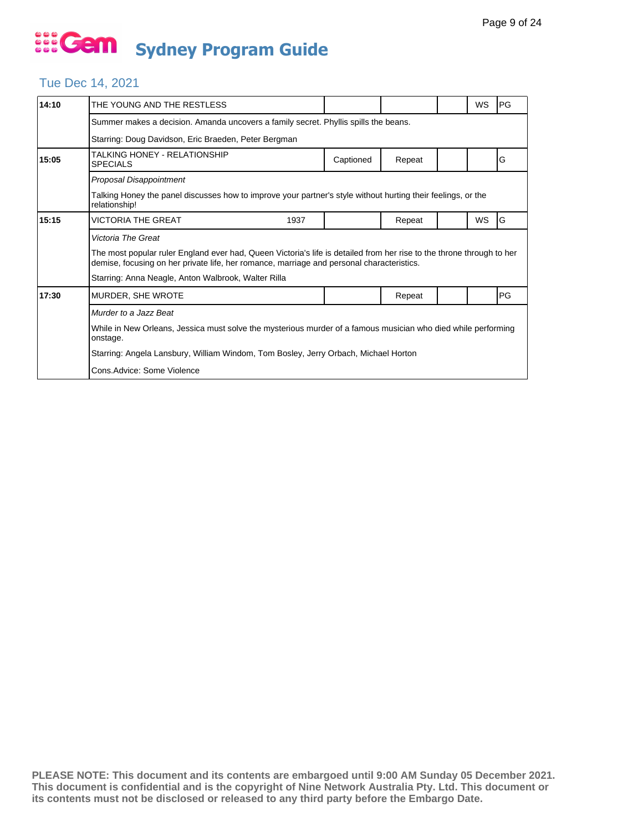## Tue Dec 14, 2021

| 14:10 | THE YOUNG AND THE RESTLESS                                                                                                                                                                                         |           |        |  | WS        | PG        |  |  |  |
|-------|--------------------------------------------------------------------------------------------------------------------------------------------------------------------------------------------------------------------|-----------|--------|--|-----------|-----------|--|--|--|
|       | Summer makes a decision. Amanda uncovers a family secret. Phyllis spills the beans.                                                                                                                                |           |        |  |           |           |  |  |  |
|       | Starring: Doug Davidson, Eric Braeden, Peter Bergman                                                                                                                                                               |           |        |  |           |           |  |  |  |
| 15:05 | TALKING HONEY - RELATIONSHIP<br><b>SPECIALS</b>                                                                                                                                                                    | Captioned | Repeat |  |           | G         |  |  |  |
|       | Proposal Disappointment                                                                                                                                                                                            |           |        |  |           |           |  |  |  |
|       | Talking Honey the panel discusses how to improve your partner's style without hurting their feelings, or the<br>relationship!                                                                                      |           |        |  |           |           |  |  |  |
| 15:15 | <b>VICTORIA THE GREAT</b><br>1937                                                                                                                                                                                  |           | Repeat |  | <b>WS</b> | G         |  |  |  |
|       | Victoria The Great                                                                                                                                                                                                 |           |        |  |           |           |  |  |  |
|       | The most popular ruler England ever had, Queen Victoria's life is detailed from her rise to the throne through to her<br>demise, focusing on her private life, her romance, marriage and personal characteristics. |           |        |  |           |           |  |  |  |
|       | Starring: Anna Neagle, Anton Walbrook, Walter Rilla                                                                                                                                                                |           |        |  |           |           |  |  |  |
| 17:30 | MURDER, SHE WROTE                                                                                                                                                                                                  |           | Repeat |  |           | <b>PG</b> |  |  |  |
|       | Murder to a Jazz Beat                                                                                                                                                                                              |           |        |  |           |           |  |  |  |
|       | While in New Orleans, Jessica must solve the mysterious murder of a famous musician who died while performing<br>onstage.                                                                                          |           |        |  |           |           |  |  |  |
|       | Starring: Angela Lansbury, William Windom, Tom Bosley, Jerry Orbach, Michael Horton                                                                                                                                |           |        |  |           |           |  |  |  |
|       | Cons.Advice: Some Violence                                                                                                                                                                                         |           |        |  |           |           |  |  |  |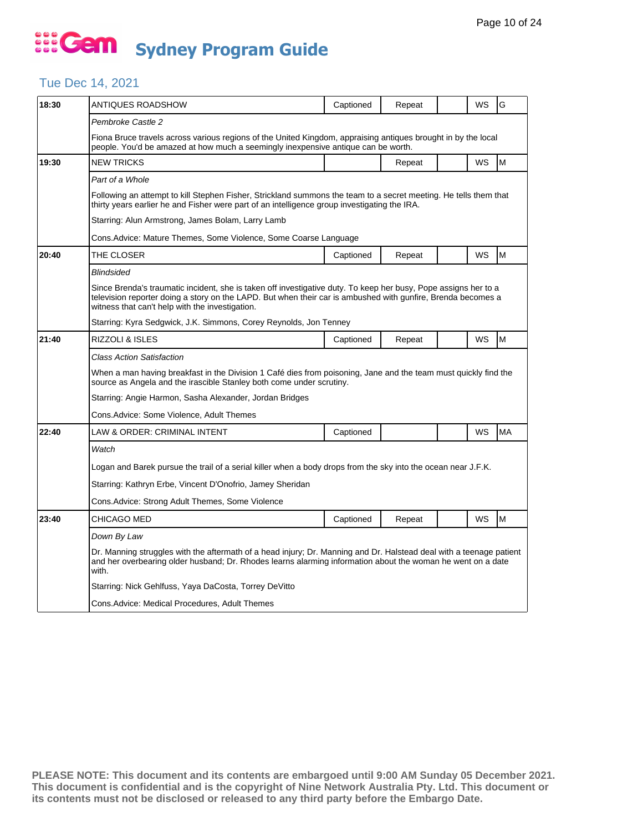## Tue Dec 14, 2021

| 18:30 | ANTIQUES ROADSHOW                                                                                                                                                                                                                                                                  | Captioned | Repeat |  | WS        | G         |  |  |  |
|-------|------------------------------------------------------------------------------------------------------------------------------------------------------------------------------------------------------------------------------------------------------------------------------------|-----------|--------|--|-----------|-----------|--|--|--|
|       | Pembroke Castle 2                                                                                                                                                                                                                                                                  |           |        |  |           |           |  |  |  |
|       | Fiona Bruce travels across various regions of the United Kingdom, appraising antiques brought in by the local<br>people. You'd be amazed at how much a seemingly inexpensive antique can be worth.                                                                                 |           |        |  |           |           |  |  |  |
| 19:30 | <b>NEW TRICKS</b>                                                                                                                                                                                                                                                                  |           | Repeat |  | WS        | M         |  |  |  |
|       | Part of a Whole                                                                                                                                                                                                                                                                    |           |        |  |           |           |  |  |  |
|       | Following an attempt to kill Stephen Fisher, Strickland summons the team to a secret meeting. He tells them that<br>thirty years earlier he and Fisher were part of an intelligence group investigating the IRA.                                                                   |           |        |  |           |           |  |  |  |
|       | Starring: Alun Armstrong, James Bolam, Larry Lamb                                                                                                                                                                                                                                  |           |        |  |           |           |  |  |  |
|       | Cons.Advice: Mature Themes, Some Violence, Some Coarse Language                                                                                                                                                                                                                    |           |        |  |           |           |  |  |  |
| 20:40 | THE CLOSER                                                                                                                                                                                                                                                                         | Captioned | Repeat |  | WS        | M         |  |  |  |
|       | Blindsided                                                                                                                                                                                                                                                                         |           |        |  |           |           |  |  |  |
|       | Since Brenda's traumatic incident, she is taken off investigative duty. To keep her busy, Pope assigns her to a<br>television reporter doing a story on the LAPD. But when their car is ambushed with gunfire, Brenda becomes a<br>witness that can't help with the investigation. |           |        |  |           |           |  |  |  |
|       | Starring: Kyra Sedgwick, J.K. Simmons, Corey Reynolds, Jon Tenney                                                                                                                                                                                                                  |           |        |  |           |           |  |  |  |
| 21:40 | RIZZOLI & ISLES                                                                                                                                                                                                                                                                    | Captioned | Repeat |  | <b>WS</b> | M         |  |  |  |
|       | Class Action Satisfaction                                                                                                                                                                                                                                                          |           |        |  |           |           |  |  |  |
|       | When a man having breakfast in the Division 1 Café dies from poisoning, Jane and the team must quickly find the<br>source as Angela and the irascible Stanley both come under scrutiny.                                                                                            |           |        |  |           |           |  |  |  |
|       | Starring: Angie Harmon, Sasha Alexander, Jordan Bridges                                                                                                                                                                                                                            |           |        |  |           |           |  |  |  |
|       | Cons.Advice: Some Violence, Adult Themes                                                                                                                                                                                                                                           |           |        |  |           |           |  |  |  |
| 22:40 | LAW & ORDER: CRIMINAL INTENT                                                                                                                                                                                                                                                       | Captioned |        |  | WS        | <b>MA</b> |  |  |  |
|       | Watch                                                                                                                                                                                                                                                                              |           |        |  |           |           |  |  |  |
|       | Logan and Barek pursue the trail of a serial killer when a body drops from the sky into the ocean near J.F.K.                                                                                                                                                                      |           |        |  |           |           |  |  |  |
|       | Starring: Kathryn Erbe, Vincent D'Onofrio, Jamey Sheridan                                                                                                                                                                                                                          |           |        |  |           |           |  |  |  |
|       | Cons.Advice: Strong Adult Themes, Some Violence                                                                                                                                                                                                                                    |           |        |  |           |           |  |  |  |
| 23:40 | CHICAGO MED                                                                                                                                                                                                                                                                        | Captioned | Repeat |  | WS        | M         |  |  |  |
|       | Down By Law                                                                                                                                                                                                                                                                        |           |        |  |           |           |  |  |  |
|       | Dr. Manning struggles with the aftermath of a head injury; Dr. Manning and Dr. Halstead deal with a teenage patient<br>and her overbearing older husband; Dr. Rhodes learns alarming information about the woman he went on a date<br>with.                                        |           |        |  |           |           |  |  |  |
|       | Starring: Nick Gehlfuss, Yaya DaCosta, Torrey DeVitto                                                                                                                                                                                                                              |           |        |  |           |           |  |  |  |
|       | Cons.Advice: Medical Procedures, Adult Themes                                                                                                                                                                                                                                      |           |        |  |           |           |  |  |  |
|       |                                                                                                                                                                                                                                                                                    |           |        |  |           |           |  |  |  |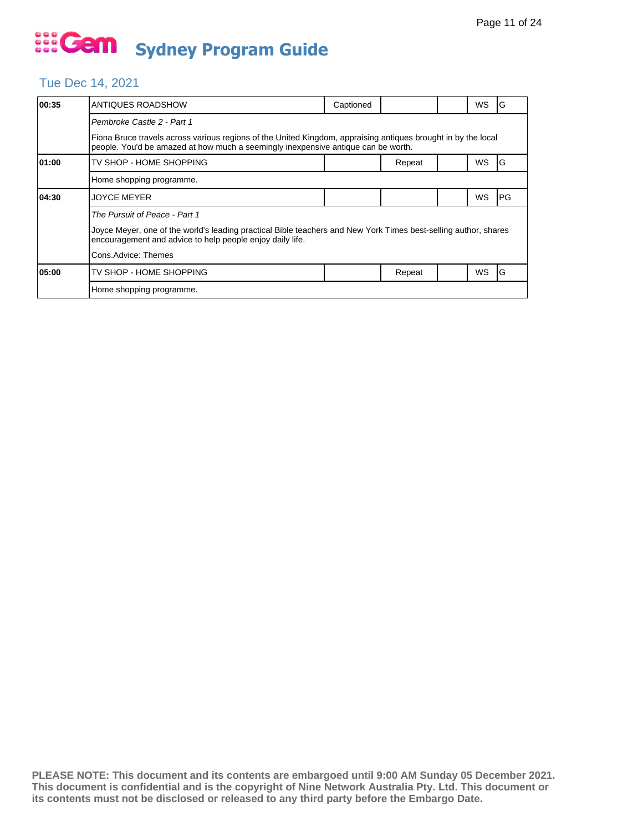### Tue Dec 14, 2021

| 00:35 | ANTIQUES ROADSHOW                                                                                                                                                                                                                    | Captioned                                                                                                                                                                                          |        |  | WS        | G          |  |  |  |
|-------|--------------------------------------------------------------------------------------------------------------------------------------------------------------------------------------------------------------------------------------|----------------------------------------------------------------------------------------------------------------------------------------------------------------------------------------------------|--------|--|-----------|------------|--|--|--|
|       | Pembroke Castle 2 - Part 1                                                                                                                                                                                                           |                                                                                                                                                                                                    |        |  |           |            |  |  |  |
|       |                                                                                                                                                                                                                                      | Fiona Bruce travels across various regions of the United Kingdom, appraising antiques brought in by the local<br>people. You'd be amazed at how much a seemingly inexpensive antique can be worth. |        |  |           |            |  |  |  |
| 01:00 | TV SHOP - HOME SHOPPING                                                                                                                                                                                                              |                                                                                                                                                                                                    | Repeat |  | WS        | G          |  |  |  |
|       | Home shopping programme.                                                                                                                                                                                                             |                                                                                                                                                                                                    |        |  |           |            |  |  |  |
| 04:30 | <b>JOYCE MEYER</b>                                                                                                                                                                                                                   |                                                                                                                                                                                                    |        |  | WS        | <b>IPG</b> |  |  |  |
|       | The Pursuit of Peace - Part 1<br>Joyce Meyer, one of the world's leading practical Bible teachers and New York Times best-selling author, shares<br>encouragement and advice to help people enjoy daily life.<br>Cons.Advice: Themes |                                                                                                                                                                                                    |        |  |           |            |  |  |  |
| 05:00 | TV SHOP - HOME SHOPPING                                                                                                                                                                                                              |                                                                                                                                                                                                    | Repeat |  | <b>WS</b> | ١G         |  |  |  |
|       | Home shopping programme.                                                                                                                                                                                                             |                                                                                                                                                                                                    |        |  |           |            |  |  |  |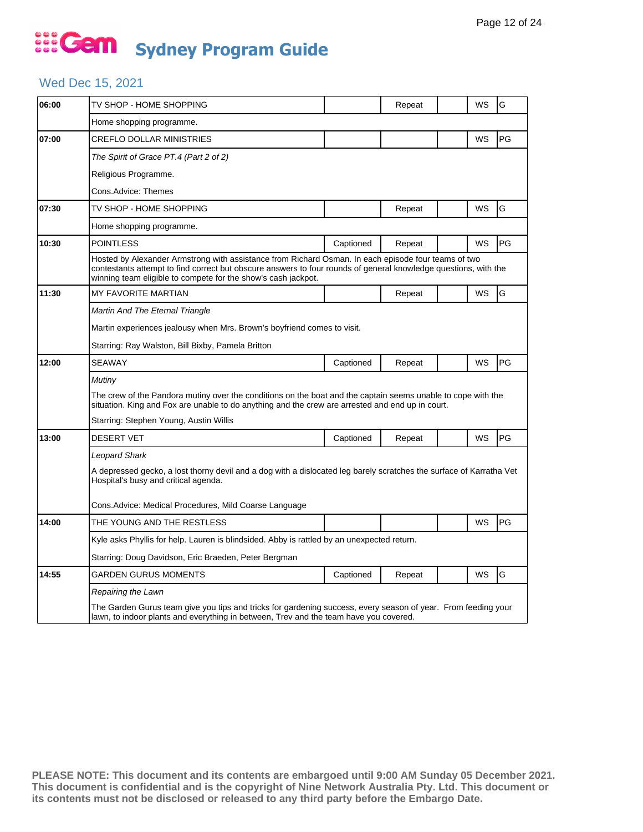## ... Gem **Sydney Program Guide**

## Wed Dec 15, 2021

| 06:00 | TV SHOP - HOME SHOPPING                                                                                                                                                                                                                                                                 |           | Repeat |  | WS | G  |  |  |  |
|-------|-----------------------------------------------------------------------------------------------------------------------------------------------------------------------------------------------------------------------------------------------------------------------------------------|-----------|--------|--|----|----|--|--|--|
|       | Home shopping programme.                                                                                                                                                                                                                                                                |           |        |  |    |    |  |  |  |
| 07:00 | CREFLO DOLLAR MINISTRIES                                                                                                                                                                                                                                                                |           |        |  | WS | PG |  |  |  |
|       | The Spirit of Grace PT.4 (Part 2 of 2)                                                                                                                                                                                                                                                  |           |        |  |    |    |  |  |  |
|       | Religious Programme.                                                                                                                                                                                                                                                                    |           |        |  |    |    |  |  |  |
|       | Cons.Advice: Themes                                                                                                                                                                                                                                                                     |           |        |  |    |    |  |  |  |
| 07:30 | TV SHOP - HOME SHOPPING                                                                                                                                                                                                                                                                 |           | Repeat |  | WS | G  |  |  |  |
|       | Home shopping programme.                                                                                                                                                                                                                                                                |           |        |  |    |    |  |  |  |
| 10:30 | <b>POINTLESS</b>                                                                                                                                                                                                                                                                        | Captioned | Repeat |  | WS | PG |  |  |  |
|       | Hosted by Alexander Armstrong with assistance from Richard Osman. In each episode four teams of two<br>contestants attempt to find correct but obscure answers to four rounds of general knowledge questions, with the<br>winning team eligible to compete for the show's cash jackpot. |           |        |  |    |    |  |  |  |
| 11:30 | <b>MY FAVORITE MARTIAN</b>                                                                                                                                                                                                                                                              |           | Repeat |  | WS | G  |  |  |  |
|       | Martin And The Eternal Triangle                                                                                                                                                                                                                                                         |           |        |  |    |    |  |  |  |
|       | Martin experiences jealousy when Mrs. Brown's boyfriend comes to visit.                                                                                                                                                                                                                 |           |        |  |    |    |  |  |  |
|       | Starring: Ray Walston, Bill Bixby, Pamela Britton                                                                                                                                                                                                                                       |           |        |  |    |    |  |  |  |
| 12:00 | <b>SEAWAY</b>                                                                                                                                                                                                                                                                           | Captioned | Repeat |  | WS | PG |  |  |  |
|       | Mutiny                                                                                                                                                                                                                                                                                  |           |        |  |    |    |  |  |  |
|       | The crew of the Pandora mutiny over the conditions on the boat and the captain seems unable to cope with the<br>situation. King and Fox are unable to do anything and the crew are arrested and end up in court.                                                                        |           |        |  |    |    |  |  |  |
|       | Starring: Stephen Young, Austin Willis                                                                                                                                                                                                                                                  |           |        |  |    |    |  |  |  |
| 13:00 | <b>DESERT VET</b>                                                                                                                                                                                                                                                                       | Captioned | Repeat |  | WS | PG |  |  |  |
|       | Leopard Shark                                                                                                                                                                                                                                                                           |           |        |  |    |    |  |  |  |
|       | A depressed gecko, a lost thorny devil and a dog with a dislocated leg barely scratches the surface of Karratha Vet<br>Hospital's busy and critical agenda.                                                                                                                             |           |        |  |    |    |  |  |  |
|       | Cons.Advice: Medical Procedures, Mild Coarse Language                                                                                                                                                                                                                                   |           |        |  |    |    |  |  |  |
| 14:00 | THE YOUNG AND THE RESTLESS                                                                                                                                                                                                                                                              |           |        |  | WS | PG |  |  |  |
|       | Kyle asks Phyllis for help. Lauren is blindsided. Abby is rattled by an unexpected return.                                                                                                                                                                                              |           |        |  |    |    |  |  |  |
|       | Starring: Doug Davidson, Eric Braeden, Peter Bergman                                                                                                                                                                                                                                    |           |        |  |    |    |  |  |  |
| 14:55 | <b>GARDEN GURUS MOMENTS</b>                                                                                                                                                                                                                                                             | Captioned | Repeat |  | WS | G  |  |  |  |
|       | Repairing the Lawn                                                                                                                                                                                                                                                                      |           |        |  |    |    |  |  |  |
|       | The Garden Gurus team give you tips and tricks for gardening success, every season of year. From feeding your<br>lawn, to indoor plants and everything in between, Trev and the team have you covered.                                                                                  |           |        |  |    |    |  |  |  |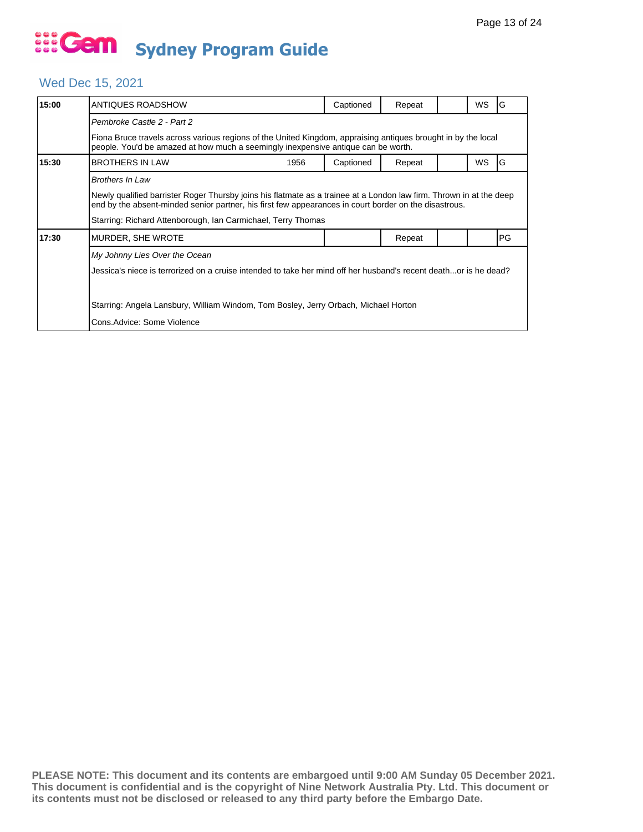## Wed Dec 15, 2021

| 15:00 | ANTIQUES ROADSHOW                                                                                                                                                                                                            | Captioned | Repeat |  | <b>WS</b> | G  |  |  |  |
|-------|------------------------------------------------------------------------------------------------------------------------------------------------------------------------------------------------------------------------------|-----------|--------|--|-----------|----|--|--|--|
|       | Pembroke Castle 2 - Part 2                                                                                                                                                                                                   |           |        |  |           |    |  |  |  |
|       | Fiona Bruce travels across various regions of the United Kingdom, appraising antiques brought in by the local<br>people. You'd be amazed at how much a seemingly inexpensive antique can be worth.                           |           |        |  |           |    |  |  |  |
| 15:30 | <b>BROTHERS IN LAW</b><br>1956                                                                                                                                                                                               | Captioned | Repeat |  | <b>WS</b> | G  |  |  |  |
|       | <b>Brothers In Law</b>                                                                                                                                                                                                       |           |        |  |           |    |  |  |  |
|       | Newly qualified barrister Roger Thursby joins his flatmate as a trainee at a London law firm. Thrown in at the deep<br>end by the absent-minded senior partner, his first few appearances in court border on the disastrous. |           |        |  |           |    |  |  |  |
|       | Starring: Richard Attenborough, Ian Carmichael, Terry Thomas                                                                                                                                                                 |           |        |  |           |    |  |  |  |
| 17:30 | MURDER, SHE WROTE                                                                                                                                                                                                            |           | Repeat |  |           | PG |  |  |  |
|       | My Johnny Lies Over the Ocean                                                                                                                                                                                                |           |        |  |           |    |  |  |  |
|       | Jessica's niece is terrorized on a cruise intended to take her mind off her husband's recent deathor is he dead?                                                                                                             |           |        |  |           |    |  |  |  |
|       | Starring: Angela Lansbury, William Windom, Tom Bosley, Jerry Orbach, Michael Horton                                                                                                                                          |           |        |  |           |    |  |  |  |
|       | Cons.Advice: Some Violence                                                                                                                                                                                                   |           |        |  |           |    |  |  |  |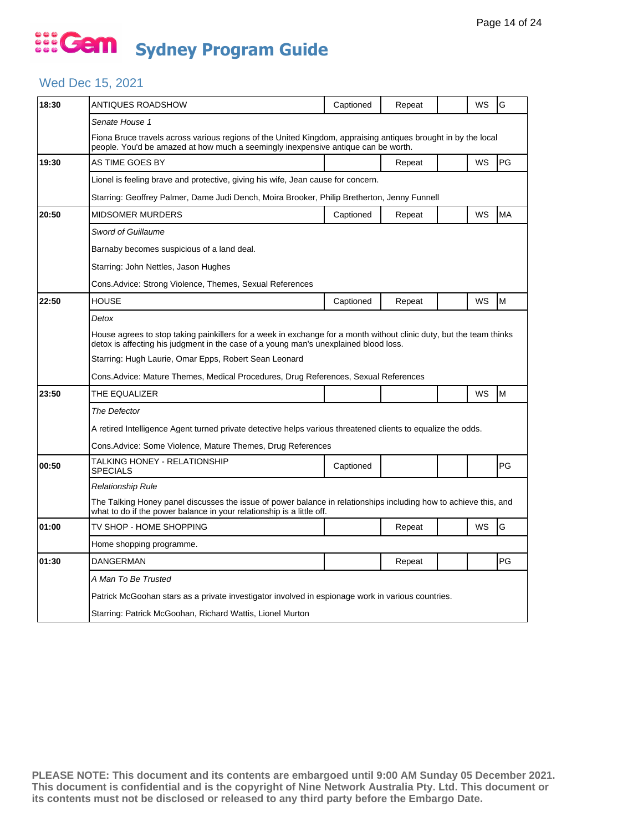## ... Gem **Sydney Program Guide**

## Wed Dec 15, 2021

| 18:30 | ANTIQUES ROADSHOW                                                                                                                                                                                           | Captioned | Repeat |  | WS        | G         |  |  |  |
|-------|-------------------------------------------------------------------------------------------------------------------------------------------------------------------------------------------------------------|-----------|--------|--|-----------|-----------|--|--|--|
|       | Senate House 1                                                                                                                                                                                              |           |        |  |           |           |  |  |  |
|       | Fiona Bruce travels across various regions of the United Kingdom, appraising antiques brought in by the local<br>people. You'd be amazed at how much a seemingly inexpensive antique can be worth.          |           |        |  |           |           |  |  |  |
| 19:30 | AS TIME GOES BY                                                                                                                                                                                             |           | Repeat |  | <b>WS</b> | PG        |  |  |  |
|       | Lionel is feeling brave and protective, giving his wife, Jean cause for concern.                                                                                                                            |           |        |  |           |           |  |  |  |
|       | Starring: Geoffrey Palmer, Dame Judi Dench, Moira Brooker, Philip Bretherton, Jenny Funnell                                                                                                                 |           |        |  |           |           |  |  |  |
| 20:50 | <b>MIDSOMER MURDERS</b>                                                                                                                                                                                     | Captioned | Repeat |  | <b>WS</b> | <b>MA</b> |  |  |  |
|       | Sword of Guillaume                                                                                                                                                                                          |           |        |  |           |           |  |  |  |
|       | Barnaby becomes suspicious of a land deal.                                                                                                                                                                  |           |        |  |           |           |  |  |  |
|       | Starring: John Nettles, Jason Hughes                                                                                                                                                                        |           |        |  |           |           |  |  |  |
|       | Cons.Advice: Strong Violence, Themes, Sexual References                                                                                                                                                     |           |        |  |           |           |  |  |  |
| 22:50 | HOUSE                                                                                                                                                                                                       | Captioned | Repeat |  | WS        | M         |  |  |  |
|       | Detox                                                                                                                                                                                                       |           |        |  |           |           |  |  |  |
|       | House agrees to stop taking painkillers for a week in exchange for a month without clinic duty, but the team thinks<br>detox is affecting his judgment in the case of a young man's unexplained blood loss. |           |        |  |           |           |  |  |  |
|       | Starring: Hugh Laurie, Omar Epps, Robert Sean Leonard                                                                                                                                                       |           |        |  |           |           |  |  |  |
|       | Cons.Advice: Mature Themes, Medical Procedures, Drug References, Sexual References                                                                                                                          |           |        |  |           |           |  |  |  |
| 23:50 | THE EQUALIZER                                                                                                                                                                                               |           |        |  | WS        | M         |  |  |  |
|       | The Defector                                                                                                                                                                                                |           |        |  |           |           |  |  |  |
|       | A retired Intelligence Agent turned private detective helps various threatened clients to equalize the odds.                                                                                                |           |        |  |           |           |  |  |  |
|       | Cons.Advice: Some Violence, Mature Themes, Drug References                                                                                                                                                  |           |        |  |           |           |  |  |  |
| 00:50 | TALKING HONEY - RELATIONSHIP<br><b>SPECIALS</b>                                                                                                                                                             | Captioned |        |  |           | PG        |  |  |  |
|       | Relationship Rule                                                                                                                                                                                           |           |        |  |           |           |  |  |  |
|       | The Talking Honey panel discusses the issue of power balance in relationships including how to achieve this, and<br>what to do if the power balance in your relationship is a little off.                   |           |        |  |           |           |  |  |  |
| 01:00 | TV SHOP - HOME SHOPPING                                                                                                                                                                                     |           | Repeat |  | WS        | G         |  |  |  |
|       | Home shopping programme.                                                                                                                                                                                    |           |        |  |           |           |  |  |  |
| 01:30 | <b>DANGERMAN</b>                                                                                                                                                                                            |           | Repeat |  |           | PG        |  |  |  |
|       | A Man To Be Trusted                                                                                                                                                                                         |           |        |  |           |           |  |  |  |
|       | Patrick McGoohan stars as a private investigator involved in espionage work in various countries.                                                                                                           |           |        |  |           |           |  |  |  |
|       |                                                                                                                                                                                                             |           |        |  |           |           |  |  |  |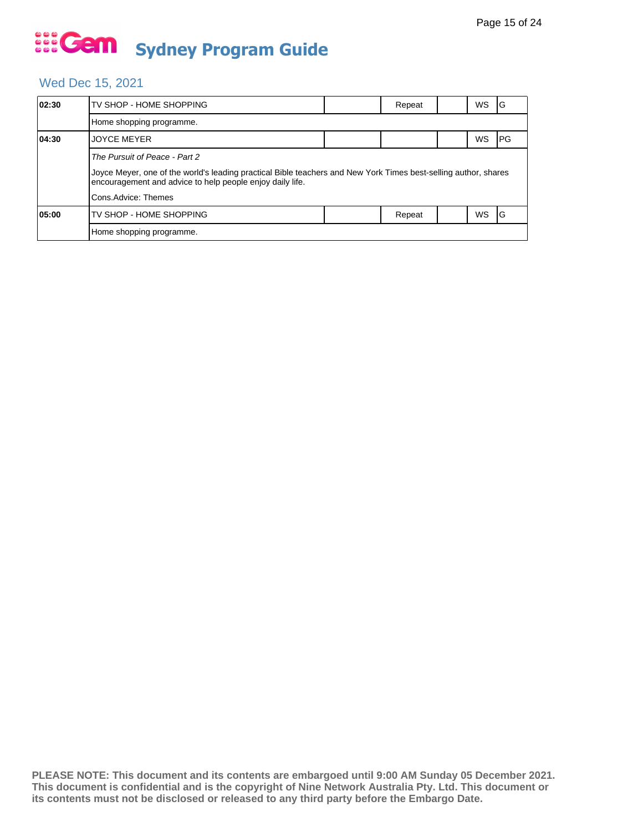## Wed Dec 15, 2021

| 02:30 | TV SHOP - HOME SHOPPING                                                                                                                                                      |  | Repeat |  | WS | IG   |  |  |  |
|-------|------------------------------------------------------------------------------------------------------------------------------------------------------------------------------|--|--------|--|----|------|--|--|--|
|       | Home shopping programme.                                                                                                                                                     |  |        |  |    |      |  |  |  |
| 04:30 | <b>JOYCE MEYER</b>                                                                                                                                                           |  |        |  | WS | IPG. |  |  |  |
|       | The Pursuit of Peace - Part 2                                                                                                                                                |  |        |  |    |      |  |  |  |
|       | Joyce Meyer, one of the world's leading practical Bible teachers and New York Times best-selling author, shares<br>encouragement and advice to help people enjoy daily life. |  |        |  |    |      |  |  |  |
|       | Cons.Advice: Themes                                                                                                                                                          |  |        |  |    |      |  |  |  |
| 05:00 | TV SHOP - HOME SHOPPING                                                                                                                                                      |  | Repeat |  | WS | IG   |  |  |  |
|       | Home shopping programme.                                                                                                                                                     |  |        |  |    |      |  |  |  |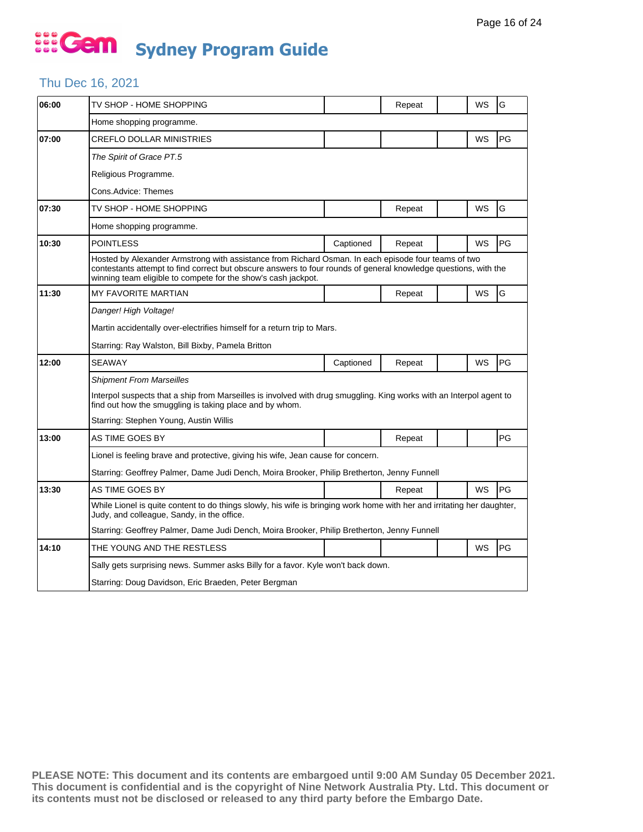### Thu Dec 16, 2021

| 06:00 | TV SHOP - HOME SHOPPING                                                                                                                                                                                                                                                                 |           | Repeat |  | WS        | G  |  |  |
|-------|-----------------------------------------------------------------------------------------------------------------------------------------------------------------------------------------------------------------------------------------------------------------------------------------|-----------|--------|--|-----------|----|--|--|
|       | Home shopping programme.                                                                                                                                                                                                                                                                |           |        |  |           |    |  |  |
| 07:00 | <b>CREFLO DOLLAR MINISTRIES</b>                                                                                                                                                                                                                                                         |           |        |  | WS        | PG |  |  |
|       | The Spirit of Grace PT.5                                                                                                                                                                                                                                                                |           |        |  |           |    |  |  |
|       | Religious Programme.                                                                                                                                                                                                                                                                    |           |        |  |           |    |  |  |
|       | Cons.Advice: Themes                                                                                                                                                                                                                                                                     |           |        |  |           |    |  |  |
| 07:30 | TV SHOP - HOME SHOPPING                                                                                                                                                                                                                                                                 |           | Repeat |  | WS        | G  |  |  |
|       | Home shopping programme.                                                                                                                                                                                                                                                                |           |        |  |           |    |  |  |
| 10:30 | <b>POINTLESS</b>                                                                                                                                                                                                                                                                        | Captioned | Repeat |  | WS        | PG |  |  |
|       | Hosted by Alexander Armstrong with assistance from Richard Osman. In each episode four teams of two<br>contestants attempt to find correct but obscure answers to four rounds of general knowledge questions, with the<br>winning team eligible to compete for the show's cash jackpot. |           |        |  |           |    |  |  |
| 11:30 | <b>MY FAVORITE MARTIAN</b>                                                                                                                                                                                                                                                              |           | Repeat |  | WS        | G  |  |  |
|       | Danger! High Voltage!                                                                                                                                                                                                                                                                   |           |        |  |           |    |  |  |
|       | Martin accidentally over-electrifies himself for a return trip to Mars.                                                                                                                                                                                                                 |           |        |  |           |    |  |  |
|       | Starring: Ray Walston, Bill Bixby, Pamela Britton                                                                                                                                                                                                                                       |           |        |  |           |    |  |  |
| 12:00 | <b>SEAWAY</b>                                                                                                                                                                                                                                                                           | Captioned | Repeat |  | WS        | PG |  |  |
|       | <b>Shipment From Marseilles</b>                                                                                                                                                                                                                                                         |           |        |  |           |    |  |  |
|       | Interpol suspects that a ship from Marseilles is involved with drug smuggling. King works with an Interpol agent to<br>find out how the smuggling is taking place and by whom.                                                                                                          |           |        |  |           |    |  |  |
|       | Starring: Stephen Young, Austin Willis                                                                                                                                                                                                                                                  |           |        |  |           |    |  |  |
| 13:00 | AS TIME GOES BY                                                                                                                                                                                                                                                                         |           | Repeat |  |           | PG |  |  |
|       | Lionel is feeling brave and protective, giving his wife, Jean cause for concern.                                                                                                                                                                                                        |           |        |  |           |    |  |  |
|       | Starring: Geoffrey Palmer, Dame Judi Dench, Moira Brooker, Philip Bretherton, Jenny Funnell                                                                                                                                                                                             |           |        |  |           |    |  |  |
| 13:30 | AS TIME GOES BY                                                                                                                                                                                                                                                                         |           | Repeat |  | <b>WS</b> | PG |  |  |
|       | While Lionel is quite content to do things slowly, his wife is bringing work home with her and irritating her daughter,<br>Judy, and colleague, Sandy, in the office.                                                                                                                   |           |        |  |           |    |  |  |
|       | Starring: Geoffrey Palmer, Dame Judi Dench, Moira Brooker, Philip Bretherton, Jenny Funnell                                                                                                                                                                                             |           |        |  |           |    |  |  |
| 14:10 | THE YOUNG AND THE RESTLESS                                                                                                                                                                                                                                                              |           |        |  | WS        | PG |  |  |
|       | Sally gets surprising news. Summer asks Billy for a favor. Kyle won't back down.                                                                                                                                                                                                        |           |        |  |           |    |  |  |
|       | Starring: Doug Davidson, Eric Braeden, Peter Bergman                                                                                                                                                                                                                                    |           |        |  |           |    |  |  |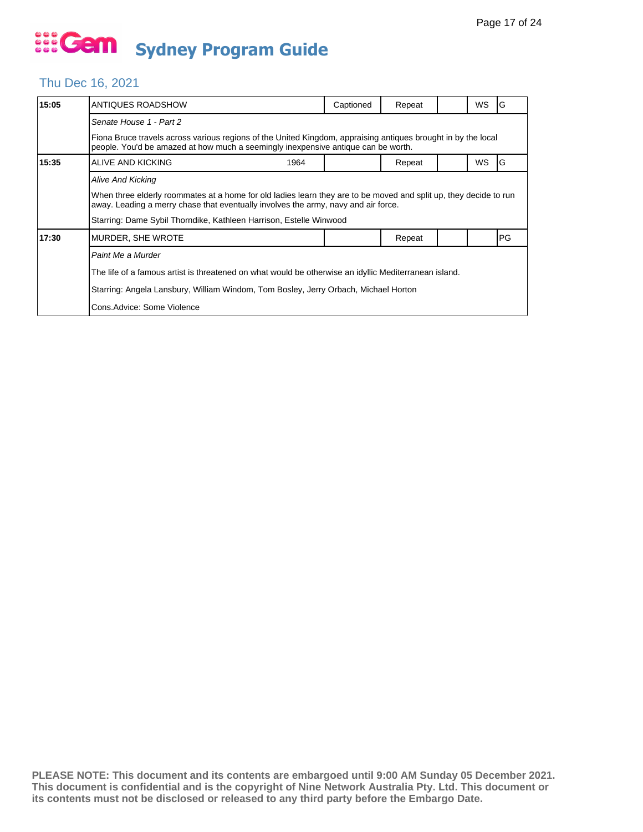#### Thu Dec 16, 2021

| 15:05 | ANTIQUES ROADSHOW                                                                                                                                                                                       | Captioned                                                                           | Repeat |  | WS | G  |  |  |
|-------|---------------------------------------------------------------------------------------------------------------------------------------------------------------------------------------------------------|-------------------------------------------------------------------------------------|--------|--|----|----|--|--|
|       | Senate House 1 - Part 2                                                                                                                                                                                 |                                                                                     |        |  |    |    |  |  |
|       | Fiona Bruce travels across various regions of the United Kingdom, appraising antiques brought in by the local<br>people. You'd be amazed at how much a seemingly inexpensive antique can be worth.      |                                                                                     |        |  |    |    |  |  |
| 15:35 | ALIVE AND KICKING<br>1964                                                                                                                                                                               |                                                                                     | Repeat |  | WS | G  |  |  |
|       | <b>Alive And Kicking</b>                                                                                                                                                                                |                                                                                     |        |  |    |    |  |  |
|       | When three elderly roommates at a home for old ladies learn they are to be moved and split up, they decide to run<br>away. Leading a merry chase that eventually involves the army, navy and air force. |                                                                                     |        |  |    |    |  |  |
|       | Starring: Dame Sybil Thorndike, Kathleen Harrison, Estelle Winwood                                                                                                                                      |                                                                                     |        |  |    |    |  |  |
| 17:30 | MURDER, SHE WROTE                                                                                                                                                                                       |                                                                                     | Repeat |  |    | PG |  |  |
|       | Paint Me a Murder                                                                                                                                                                                       |                                                                                     |        |  |    |    |  |  |
|       | The life of a famous artist is threatened on what would be otherwise an idyllic Mediterranean island.                                                                                                   |                                                                                     |        |  |    |    |  |  |
|       |                                                                                                                                                                                                         | Starring: Angela Lansbury, William Windom, Tom Bosley, Jerry Orbach, Michael Horton |        |  |    |    |  |  |
|       | Cons.Advice: Some Violence                                                                                                                                                                              |                                                                                     |        |  |    |    |  |  |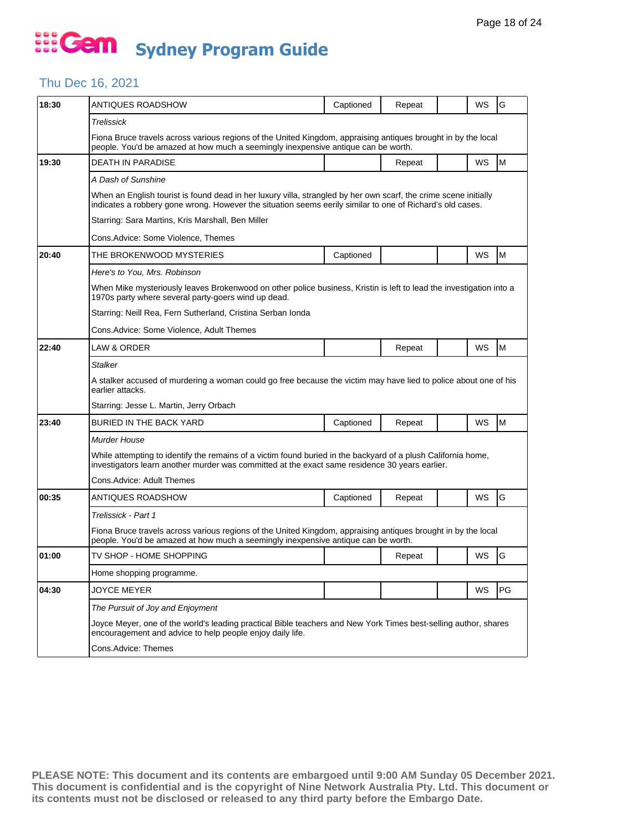#### Thu Dec 16, 2021

| 18:30 | ANTIQUES ROADSHOW                                                                                                                                                                                                             | Captioned | Repeat |  | WS | G  |  |  |  |
|-------|-------------------------------------------------------------------------------------------------------------------------------------------------------------------------------------------------------------------------------|-----------|--------|--|----|----|--|--|--|
|       | Trelissick                                                                                                                                                                                                                    |           |        |  |    |    |  |  |  |
|       | Fiona Bruce travels across various regions of the United Kingdom, appraising antiques brought in by the local<br>people. You'd be amazed at how much a seemingly inexpensive antique can be worth.                            |           |        |  |    |    |  |  |  |
| 19:30 | <b>DEATH IN PARADISE</b>                                                                                                                                                                                                      |           | Repeat |  | WS | M  |  |  |  |
|       | A Dash of Sunshine                                                                                                                                                                                                            |           |        |  |    |    |  |  |  |
|       | When an English tourist is found dead in her luxury villa, strangled by her own scarf, the crime scene initially<br>indicates a robbery gone wrong. However the situation seems eerily similar to one of Richard's old cases. |           |        |  |    |    |  |  |  |
|       | Starring: Sara Martins, Kris Marshall, Ben Miller                                                                                                                                                                             |           |        |  |    |    |  |  |  |
|       | Cons.Advice: Some Violence, Themes                                                                                                                                                                                            |           |        |  |    |    |  |  |  |
| 20:40 | THE BROKENWOOD MYSTERIES                                                                                                                                                                                                      | Captioned |        |  | WS | M  |  |  |  |
|       | Here's to You, Mrs. Robinson                                                                                                                                                                                                  |           |        |  |    |    |  |  |  |
|       | When Mike mysteriously leaves Brokenwood on other police business, Kristin is left to lead the investigation into a<br>1970s party where several party-goers wind up dead.                                                    |           |        |  |    |    |  |  |  |
|       | Starring: Neill Rea, Fern Sutherland, Cristina Serban Ionda                                                                                                                                                                   |           |        |  |    |    |  |  |  |
|       | Cons.Advice: Some Violence, Adult Themes                                                                                                                                                                                      |           |        |  |    |    |  |  |  |
| 22:40 | LAW & ORDER                                                                                                                                                                                                                   |           | Repeat |  | WS | M  |  |  |  |
|       | Stalker                                                                                                                                                                                                                       |           |        |  |    |    |  |  |  |
|       | A stalker accused of murdering a woman could go free because the victim may have lied to police about one of his<br>earlier attacks.                                                                                          |           |        |  |    |    |  |  |  |
|       | Starring: Jesse L. Martin, Jerry Orbach                                                                                                                                                                                       |           |        |  |    |    |  |  |  |
| 23:40 | BURIED IN THE BACK YARD                                                                                                                                                                                                       | Captioned | Repeat |  | WS | M  |  |  |  |
|       | Murder House                                                                                                                                                                                                                  |           |        |  |    |    |  |  |  |
|       | While attempting to identify the remains of a victim found buried in the backyard of a plush California home,<br>investigators learn another murder was committed at the exact same residence 30 years earlier.               |           |        |  |    |    |  |  |  |
|       | Cons.Advice: Adult Themes                                                                                                                                                                                                     |           |        |  |    |    |  |  |  |
| 00:35 | ANTIQUES ROADSHOW                                                                                                                                                                                                             | Captioned | Repeat |  | WS | G  |  |  |  |
|       | Trelissick - Part 1                                                                                                                                                                                                           |           |        |  |    |    |  |  |  |
|       | Fiona Bruce travels across various regions of the United Kingdom, appraising antiques brought in by the local<br>people. You'd be amazed at how much a seemingly inexpensive antique can be worth.                            |           |        |  |    |    |  |  |  |
| 01:00 | TV SHOP - HOME SHOPPING                                                                                                                                                                                                       |           | Repeat |  | WS | G  |  |  |  |
|       | Home shopping programme.                                                                                                                                                                                                      |           |        |  |    |    |  |  |  |
| 04:30 | <b>JOYCE MEYER</b>                                                                                                                                                                                                            |           |        |  | WS | PG |  |  |  |
|       |                                                                                                                                                                                                                               |           |        |  |    |    |  |  |  |
|       | The Pursuit of Joy and Enjoyment                                                                                                                                                                                              |           |        |  |    |    |  |  |  |
|       | Joyce Meyer, one of the world's leading practical Bible teachers and New York Times best-selling author, shares<br>encouragement and advice to help people enjoy daily life.                                                  |           |        |  |    |    |  |  |  |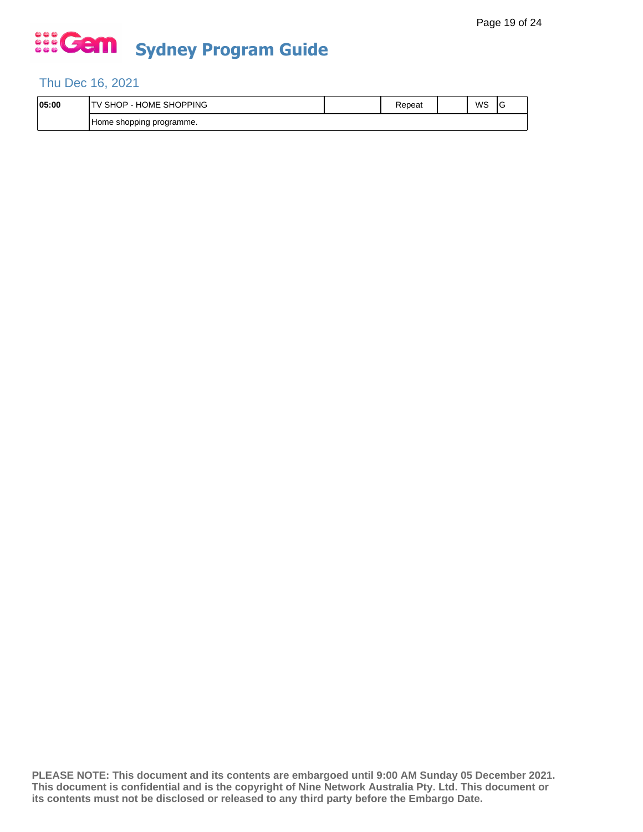### Thu Dec 16, 2021

| 05:00 | <b>SHOPPING</b><br>$\cdots$<br>. ⊣ل<br>SHC.<br>∪ME.<br>н٥<br>- | kepeat | WS | ◡ |
|-------|----------------------------------------------------------------|--------|----|---|
|       | n programme.<br>Home shopping                                  |        |    |   |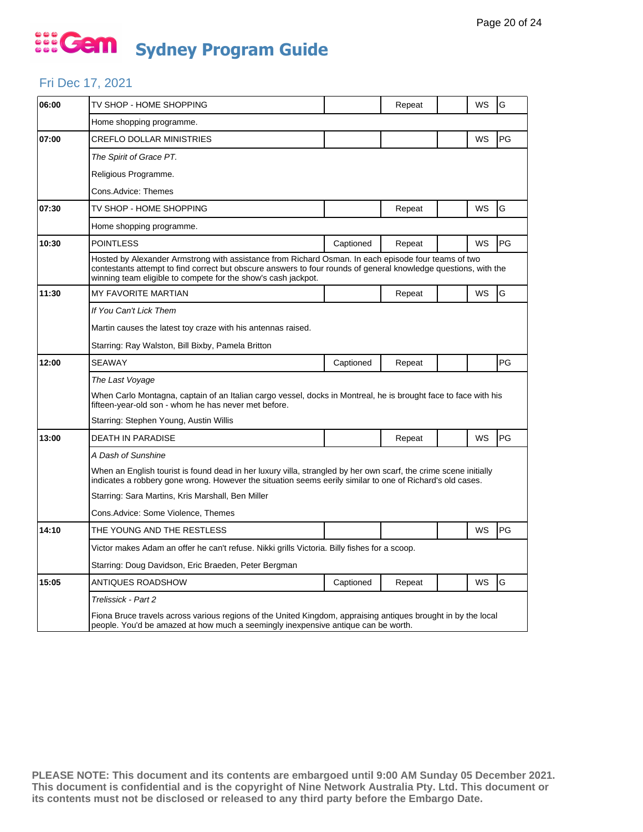### Fri Dec 17, 2021

| 06:00 | TV SHOP - HOME SHOPPING                                                                                                                                                                                                                                                                 |           | Repeat |  | WS | G  |  |  |
|-------|-----------------------------------------------------------------------------------------------------------------------------------------------------------------------------------------------------------------------------------------------------------------------------------------|-----------|--------|--|----|----|--|--|
|       | Home shopping programme.                                                                                                                                                                                                                                                                |           |        |  |    |    |  |  |
| 07:00 | <b>CREFLO DOLLAR MINISTRIES</b>                                                                                                                                                                                                                                                         |           |        |  | WS | PG |  |  |
|       | The Spirit of Grace PT.                                                                                                                                                                                                                                                                 |           |        |  |    |    |  |  |
|       | Religious Programme.                                                                                                                                                                                                                                                                    |           |        |  |    |    |  |  |
|       | Cons.Advice: Themes                                                                                                                                                                                                                                                                     |           |        |  |    |    |  |  |
| 07:30 | TV SHOP - HOME SHOPPING                                                                                                                                                                                                                                                                 |           | Repeat |  | WS | G  |  |  |
|       | Home shopping programme.                                                                                                                                                                                                                                                                |           |        |  |    |    |  |  |
| 10:30 | <b>POINTLESS</b>                                                                                                                                                                                                                                                                        | Captioned | Repeat |  | WS | PG |  |  |
|       | Hosted by Alexander Armstrong with assistance from Richard Osman. In each episode four teams of two<br>contestants attempt to find correct but obscure answers to four rounds of general knowledge questions, with the<br>winning team eligible to compete for the show's cash jackpot. |           |        |  |    |    |  |  |
| 11:30 | MY FAVORITE MARTIAN                                                                                                                                                                                                                                                                     |           | Repeat |  | WS | G  |  |  |
|       | If You Can't Lick Them                                                                                                                                                                                                                                                                  |           |        |  |    |    |  |  |
|       | Martin causes the latest toy craze with his antennas raised.                                                                                                                                                                                                                            |           |        |  |    |    |  |  |
|       | Starring: Ray Walston, Bill Bixby, Pamela Britton                                                                                                                                                                                                                                       |           |        |  |    |    |  |  |
| 12:00 | <b>SEAWAY</b>                                                                                                                                                                                                                                                                           | Captioned | Repeat |  |    | PG |  |  |
|       | The Last Voyage                                                                                                                                                                                                                                                                         |           |        |  |    |    |  |  |
|       | When Carlo Montagna, captain of an Italian cargo vessel, docks in Montreal, he is brought face to face with his<br>fifteen-year-old son - whom he has never met before.                                                                                                                 |           |        |  |    |    |  |  |
|       | Starring: Stephen Young, Austin Willis                                                                                                                                                                                                                                                  |           |        |  |    |    |  |  |
| 13:00 | <b>DEATH IN PARADISE</b>                                                                                                                                                                                                                                                                |           | Repeat |  | WS | PG |  |  |
|       | A Dash of Sunshine                                                                                                                                                                                                                                                                      |           |        |  |    |    |  |  |
|       | When an English tourist is found dead in her luxury villa, strangled by her own scarf, the crime scene initially<br>indicates a robbery gone wrong. However the situation seems eerily similar to one of Richard's old cases.                                                           |           |        |  |    |    |  |  |
|       | Starring: Sara Martins, Kris Marshall, Ben Miller                                                                                                                                                                                                                                       |           |        |  |    |    |  |  |
|       | Cons.Advice: Some Violence, Themes                                                                                                                                                                                                                                                      |           |        |  |    |    |  |  |
| 14:10 | THE YOUNG AND THE RESTLESS                                                                                                                                                                                                                                                              |           |        |  | WS | PG |  |  |
|       | Victor makes Adam an offer he can't refuse. Nikki grills Victoria. Billy fishes for a scoop.                                                                                                                                                                                            |           |        |  |    |    |  |  |
|       | Starring: Doug Davidson, Eric Braeden, Peter Bergman                                                                                                                                                                                                                                    |           |        |  |    |    |  |  |
| 15:05 | <b>ANTIQUES ROADSHOW</b>                                                                                                                                                                                                                                                                | Captioned | Repeat |  | WS | G  |  |  |
|       | Trelissick - Part 2                                                                                                                                                                                                                                                                     |           |        |  |    |    |  |  |
|       | Fiona Bruce travels across various regions of the United Kingdom, appraising antiques brought in by the local<br>people. You'd be amazed at how much a seemingly inexpensive antique can be worth.                                                                                      |           |        |  |    |    |  |  |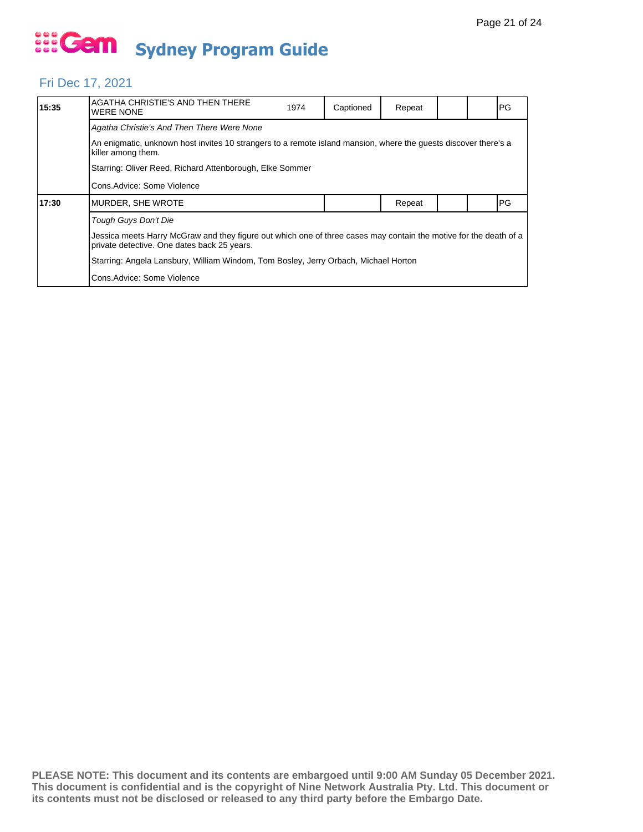## Fri Dec 17, 2021

| 15:35 | AGATHA CHRISTIE'S AND THEN THERE<br><b>WERE NONE</b>                                                                                                             | 1974 | Captioned | Repeat |  |  | PG |  |  |
|-------|------------------------------------------------------------------------------------------------------------------------------------------------------------------|------|-----------|--------|--|--|----|--|--|
|       | Agatha Christie's And Then There Were None                                                                                                                       |      |           |        |  |  |    |  |  |
|       | An enigmatic, unknown host invites 10 strangers to a remote island mansion, where the quests discover there's a<br>killer among them.                            |      |           |        |  |  |    |  |  |
|       | Starring: Oliver Reed, Richard Attenborough, Elke Sommer                                                                                                         |      |           |        |  |  |    |  |  |
|       | Cons. Advice: Some Violence                                                                                                                                      |      |           |        |  |  |    |  |  |
| 17:30 | MURDER, SHE WROTE                                                                                                                                                |      |           | Repeat |  |  | PG |  |  |
|       | Tough Guys Don't Die                                                                                                                                             |      |           |        |  |  |    |  |  |
|       | Jessica meets Harry McGraw and they figure out which one of three cases may contain the motive for the death of a<br>private detective. One dates back 25 years. |      |           |        |  |  |    |  |  |
|       | Starring: Angela Lansbury, William Windom, Tom Bosley, Jerry Orbach, Michael Horton                                                                              |      |           |        |  |  |    |  |  |
|       | Cons. Advice: Some Violence                                                                                                                                      |      |           |        |  |  |    |  |  |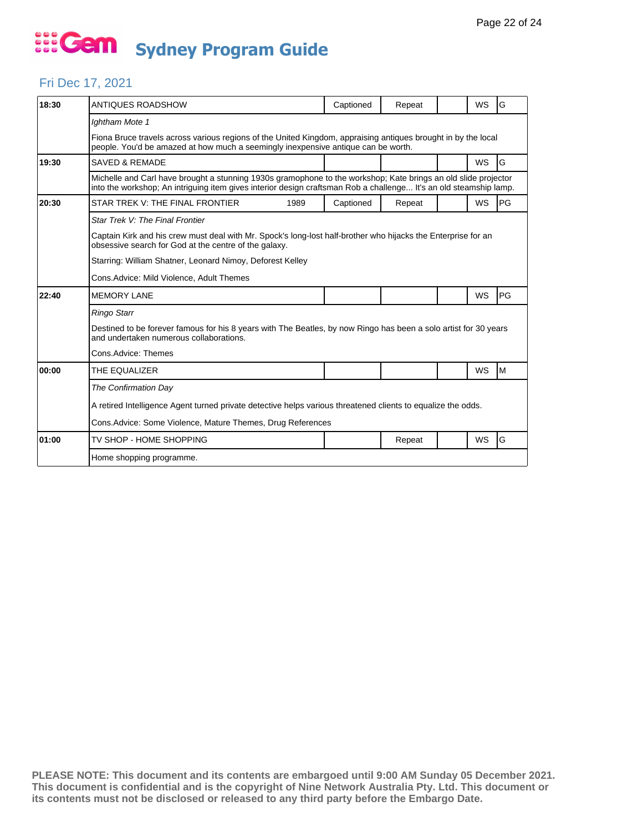### Fri Dec 17, 2021

| 18:30 | ANTIQUES ROADSHOW                                                                                                                                                                                                                   |      | Captioned | Repeat |  | <b>WS</b> | G  |  |
|-------|-------------------------------------------------------------------------------------------------------------------------------------------------------------------------------------------------------------------------------------|------|-----------|--------|--|-----------|----|--|
|       | Ightham Mote 1                                                                                                                                                                                                                      |      |           |        |  |           |    |  |
|       | Fiona Bruce travels across various regions of the United Kingdom, appraising antiques brought in by the local<br>people. You'd be amazed at how much a seemingly inexpensive antique can be worth.                                  |      |           |        |  |           |    |  |
| 19:30 | <b>SAVED &amp; REMADE</b>                                                                                                                                                                                                           |      |           |        |  | <b>WS</b> | G  |  |
|       | Michelle and Carl have brought a stunning 1930s gramophone to the workshop; Kate brings an old slide projector<br>into the workshop; An intriguing item gives interior design craftsman Rob a challenge It's an old steamship lamp. |      |           |        |  |           |    |  |
| 20:30 | STAR TREK V: THE FINAL FRONTIER                                                                                                                                                                                                     | 1989 | Captioned | Repeat |  | <b>WS</b> | PG |  |
|       | Star Trek V: The Final Frontier                                                                                                                                                                                                     |      |           |        |  |           |    |  |
|       | Captain Kirk and his crew must deal with Mr. Spock's long-lost half-brother who hijacks the Enterprise for an<br>obsessive search for God at the centre of the galaxy.                                                              |      |           |        |  |           |    |  |
|       | Starring: William Shatner, Leonard Nimoy, Deforest Kelley                                                                                                                                                                           |      |           |        |  |           |    |  |
|       | Cons.Advice: Mild Violence, Adult Themes                                                                                                                                                                                            |      |           |        |  |           |    |  |
| 22:40 | <b>MEMORY LANE</b>                                                                                                                                                                                                                  |      |           |        |  | WS        | PG |  |
|       | <b>Ringo Starr</b>                                                                                                                                                                                                                  |      |           |        |  |           |    |  |
|       | Destined to be forever famous for his 8 years with The Beatles, by now Ringo has been a solo artist for 30 years<br>and undertaken numerous collaborations.                                                                         |      |           |        |  |           |    |  |
|       | Cons.Advice: Themes                                                                                                                                                                                                                 |      |           |        |  |           |    |  |
| 00:00 | THE EQUALIZER                                                                                                                                                                                                                       |      |           |        |  | <b>WS</b> | M  |  |
|       | The Confirmation Day                                                                                                                                                                                                                |      |           |        |  |           |    |  |
|       | A retired Intelligence Agent turned private detective helps various threatened clients to equalize the odds.                                                                                                                        |      |           |        |  |           |    |  |
|       | Cons. Advice: Some Violence, Mature Themes, Drug References                                                                                                                                                                         |      |           |        |  |           |    |  |
| 01:00 | TV SHOP - HOME SHOPPING                                                                                                                                                                                                             |      |           | Repeat |  | WS        | G  |  |
|       | Home shopping programme.                                                                                                                                                                                                            |      |           |        |  |           |    |  |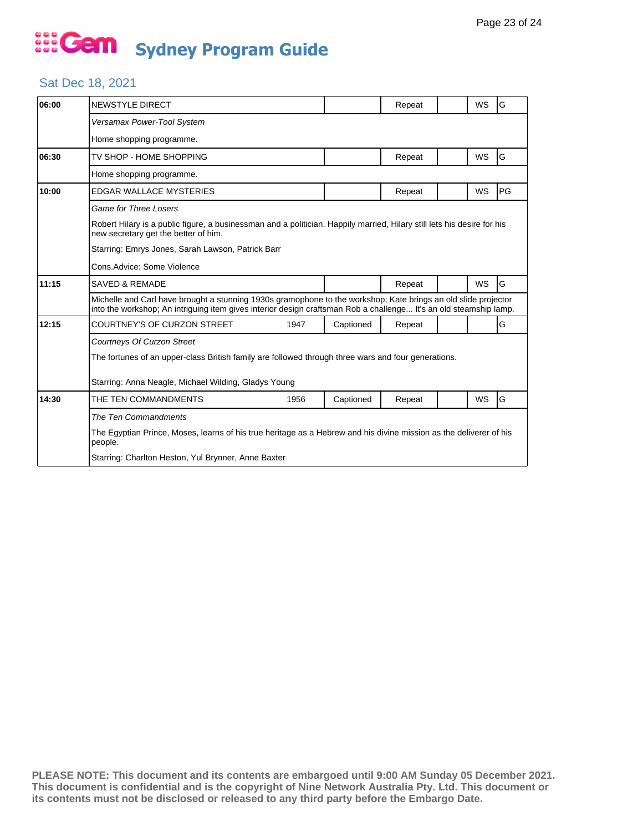## Sat Dec 18, 2021

| 06:00 | <b>NEWSTYLE DIRECT</b>                                                                                                                                                                                                              |      |           | Repeat |  | <b>WS</b> | G  |  |
|-------|-------------------------------------------------------------------------------------------------------------------------------------------------------------------------------------------------------------------------------------|------|-----------|--------|--|-----------|----|--|
|       | Versamax Power-Tool System                                                                                                                                                                                                          |      |           |        |  |           |    |  |
|       | Home shopping programme.                                                                                                                                                                                                            |      |           |        |  |           |    |  |
| 06:30 | TV SHOP - HOME SHOPPING                                                                                                                                                                                                             |      |           | Repeat |  | <b>WS</b> | G  |  |
|       | Home shopping programme.                                                                                                                                                                                                            |      |           |        |  |           |    |  |
| 10:00 | <b>EDGAR WALLACE MYSTERIES</b>                                                                                                                                                                                                      |      |           | Repeat |  | WS        | PG |  |
|       | <b>Game for Three Losers</b>                                                                                                                                                                                                        |      |           |        |  |           |    |  |
|       | Robert Hilary is a public figure, a businessman and a politician. Happily married, Hilary still lets his desire for his<br>new secretary get the better of him.                                                                     |      |           |        |  |           |    |  |
|       | Starring: Emrys Jones, Sarah Lawson, Patrick Barr                                                                                                                                                                                   |      |           |        |  |           |    |  |
|       | Cons.Advice: Some Violence                                                                                                                                                                                                          |      |           |        |  |           |    |  |
| 11:15 | <b>SAVED &amp; REMADE</b>                                                                                                                                                                                                           |      |           | Repeat |  | <b>WS</b> | G  |  |
|       | Michelle and Carl have brought a stunning 1930s gramophone to the workshop; Kate brings an old slide projector<br>into the workshop; An intriguing item gives interior design craftsman Rob a challenge It's an old steamship lamp. |      |           |        |  |           |    |  |
| 12:15 | COURTNEY'S OF CURZON STREET                                                                                                                                                                                                         | 1947 | Captioned | Repeat |  |           | G  |  |
|       | Courtneys Of Curzon Street                                                                                                                                                                                                          |      |           |        |  |           |    |  |
|       | The fortunes of an upper-class British family are followed through three wars and four generations.                                                                                                                                 |      |           |        |  |           |    |  |
|       | Starring: Anna Neagle, Michael Wilding, Gladys Young                                                                                                                                                                                |      |           |        |  |           |    |  |
| 14:30 | THE TEN COMMANDMENTS                                                                                                                                                                                                                | 1956 | Captioned | Repeat |  | WS        | G  |  |
|       | The Ten Commandments                                                                                                                                                                                                                |      |           |        |  |           |    |  |
|       | The Egyptian Prince, Moses, learns of his true heritage as a Hebrew and his divine mission as the deliverer of his<br>people.                                                                                                       |      |           |        |  |           |    |  |
|       | Starring: Charlton Heston, Yul Brynner, Anne Baxter                                                                                                                                                                                 |      |           |        |  |           |    |  |